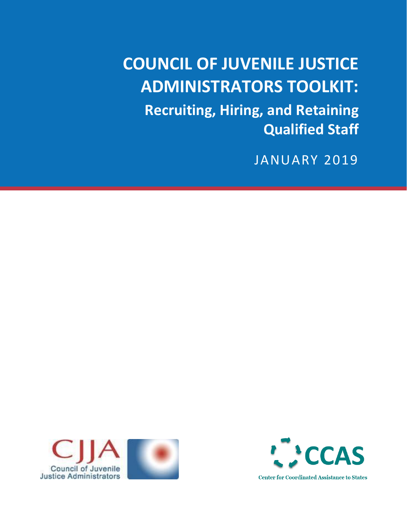# **COUNCIL OF JUVENILE JUSTICE ADMINISTRATORS TOOLKIT:**

**Recruiting, Hiring, and Retaining Qualified Staff**

JANUARY 2019



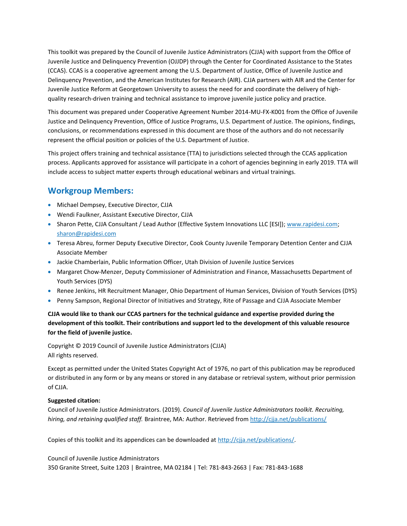This toolkit was prepared by the Council of Juvenile Justice Administrators (CJJA) with support from the Office of Juvenile Justice and Delinquency Prevention (OJJDP) through the Center for Coordinated Assistance to the States (CCAS). CCAS is a cooperative agreement among the U.S. Department of Justice, Office of Juvenile Justice and Delinquency Prevention, and the American Institutes for Research (AIR). CJJA partners with AIR and the Center for Juvenile Justice Reform at Georgetown University to assess the need for and coordinate the delivery of highquality research-driven training and technical assistance to improve juvenile justice policy and practice.

This document was prepared under Cooperative Agreement Number 2014-MU-FX-K001 from the Office of Juvenile Justice and Delinquency Prevention, Office of Justice Programs, U.S. Department of Justice. The opinions, findings, conclusions, or recommendations expressed in this document are those of the authors and do not necessarily represent the official position or policies of the U.S. Department of Justice.

This project offers training and technical assistance (TTA) to jurisdictions selected through the CCAS application process. Applicants approved for assistance will participate in a cohort of agencies beginning in early 2019. TTA will include access to subject matter experts through educational webinars and virtual trainings.

#### **Workgroup Members:**

- Michael Dempsey, Executive Director, CJJA
- Wendi Faulkner, Assistant Executive Director, CJJA
- Sharon Pette, CJJA Consultant / Lead Author (Effective System Innovations LLC [ESI]); [www.rapidesi.com;](http://www.rapidesi.com/) [sharon@rapidesi.com](mailto:sharon@rapidesi.com)
- Teresa Abreu, former Deputy Executive Director, Cook County Juvenile Temporary Detention Center and CJJA Associate Member
- Jackie Chamberlain, Public Information Officer, Utah Division of Juvenile Justice Services
- Margaret Chow-Menzer, Deputy Commissioner of Administration and Finance, Massachusetts Department of Youth Services (DYS)
- Renee Jenkins, HR Recruitment Manager, Ohio Department of Human Services, Division of Youth Services (DYS)
- Penny Sampson, Regional Director of Initiatives and Strategy, Rite of Passage and CJJA Associate Member

**CJJA would like to thank our CCAS partners for the technical guidance and expertise provided during the development of this toolkit. Their contributions and support led to the development of this valuable resource for the field of juvenile justice.**

Copyright © 2019 Council of Juvenile Justice Administrators (CJJA) All rights reserved.

Except as permitted under the United States Copyright Act of 1976, no part of this publication may be reproduced or distributed in any form or by any means or stored in any database or retrieval system, without prior permission of CJJA.

#### **Suggested citation:**

Council of Juvenile Justice Administrators. (2019). *Council of Juvenile Justice Administrators toolkit. Recruiting, hiring, and retaining qualified staff.* Braintree, MA: Author. Retrieved fro[m http://cjja.net/publications/](http://cjja.net/publications/)

Copies of this toolkit and its appendices can be downloaded at [http://cjja.net/publications/.](http://cjja.net/publications/)

Council of Juvenile Justice Administrators 350 Granite Street, Suite 1203 | Braintree, MA 02184 | Tel: 781-843-2663 | Fax: 781-843-1688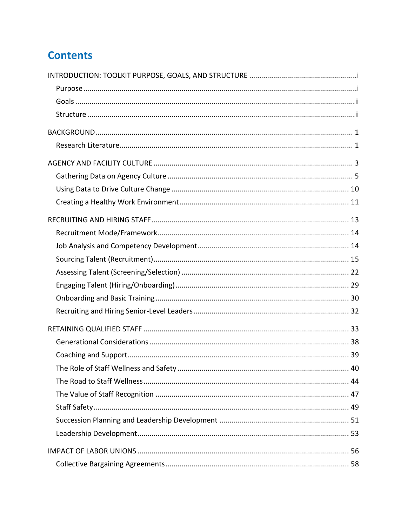# **Contents**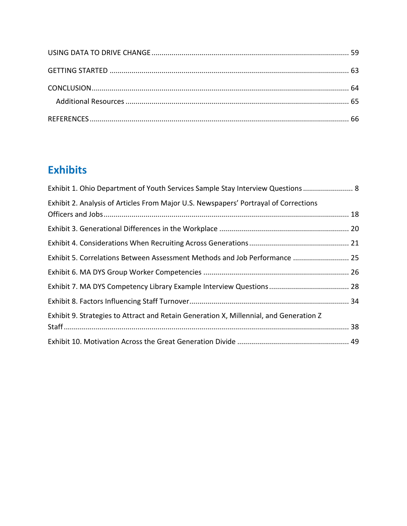# **Exhibits**

| Exhibit 1. Ohio Department of Youth Services Sample Stay Interview Questions  8        |
|----------------------------------------------------------------------------------------|
| Exhibit 2. Analysis of Articles From Major U.S. Newspapers' Portrayal of Corrections   |
|                                                                                        |
|                                                                                        |
|                                                                                        |
| Exhibit 5. Correlations Between Assessment Methods and Job Performance  25             |
|                                                                                        |
|                                                                                        |
|                                                                                        |
| Exhibit 9. Strategies to Attract and Retain Generation X, Millennial, and Generation Z |
|                                                                                        |
|                                                                                        |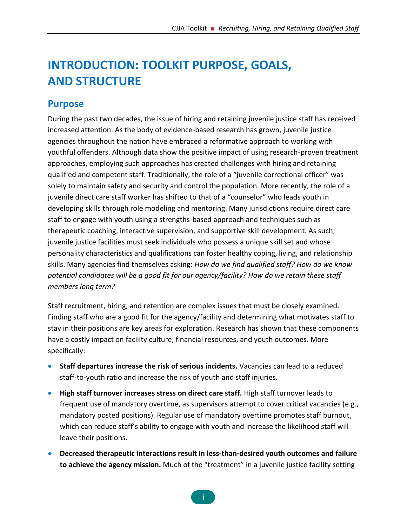# <span id="page-4-0"></span>**INTRODUCTION: TOOLKIT PURPOSE, GOALS, AND STRUCTURE**

### <span id="page-4-1"></span>**Purpose**

During the past two decades, the issue of hiring and retaining juvenile justice staff has received increased attention. As the body of evidence-based research has grown, juvenile justice agencies throughout the nation have embraced a reformative approach to working with youthful offenders. Although data show the positive impact of using research-proven treatment approaches, employing such approaches has created challenges with hiring and retaining qualified and competent staff. Traditionally, the role of a "juvenile correctional officer" was solely to maintain safety and security and control the population. More recently, the role of a juvenile direct care staff worker has shifted to that of a "counselor" who leads youth in developing skills through role modeling and mentoring. Many jurisdictions require direct care staff to engage with youth using a strengths-based approach and techniques such as therapeutic coaching, interactive supervision, and supportive skill development. As such, juvenile justice facilities must seek individuals who possess a unique skill set and whose personality characteristics and qualifications can foster healthy coping, living, and relationship skills. Many agencies find themselves asking: *How do we find qualified staff? How do we know potential candidates will be a good fit for our agency/facility? How do we retain these staff members long term?*

Staff recruitment, hiring, and retention are complex issues that must be closely examined. Finding staff who are a good fit for the agency/facility and determining what motivates staff to stay in their positions are key areas for exploration. Research has shown that these components have a costly impact on facility culture, financial resources, and youth outcomes. More specifically:

- **Staff departures increase the risk of serious incidents.** Vacancies can lead to a reduced staff-to-youth ratio and increase the risk of youth and staff injuries.
- **High staff turnover increases stress on direct care staff.** High staff turnover leads to frequent use of mandatory overtime, as supervisors attempt to cover critical vacancies (e.g., mandatory posted positions). Regular use of mandatory overtime promotes staff burnout, which can reduce staff's ability to engage with youth and increase the likelihood staff will leave their positions.
- **Decreased therapeutic interactions result in less-than-desired youth outcomes and failure to achieve the agency mission.** Much of the "treatment" in a juvenile justice facility setting

**i**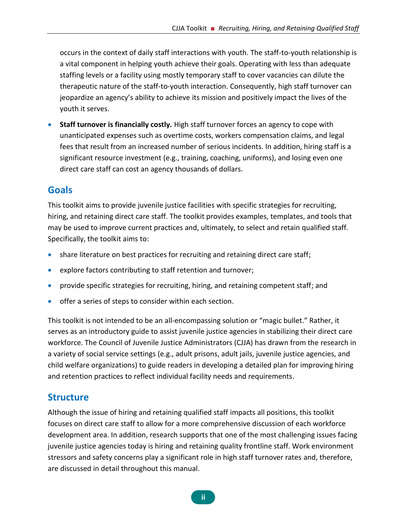occurs in the context of daily staff interactions with youth. The staff-to-youth relationship is a vital component in helping youth achieve their goals. Operating with less than adequate staffing levels or a facility using mostly temporary staff to cover vacancies can dilute the therapeutic nature of the staff-to-youth interaction. Consequently, high staff turnover can jeopardize an agency's ability to achieve its mission and positively impact the lives of the youth it serves.

• **Staff turnover is financially costly.** High staff turnover forces an agency to cope with unanticipated expenses such as overtime costs, workers compensation claims, and legal fees that result from an increased number of serious incidents. In addition, hiring staff is a significant resource investment (e.g., training, coaching, uniforms), and losing even one direct care staff can cost an agency thousands of dollars.

#### <span id="page-5-0"></span>**Goals**

This toolkit aims to provide juvenile justice facilities with specific strategies for recruiting, hiring, and retaining direct care staff. The toolkit provides examples, templates, and tools that may be used to improve current practices and, ultimately, to select and retain qualified staff. Specifically, the toolkit aims to:

- share literature on best practices for recruiting and retaining direct care staff;
- explore factors contributing to staff retention and turnover;
- provide specific strategies for recruiting, hiring, and retaining competent staff; and
- offer a series of steps to consider within each section.

This toolkit is not intended to be an all-encompassing solution or "magic bullet." Rather, it serves as an introductory guide to assist juvenile justice agencies in stabilizing their direct care workforce. The Council of Juvenile Justice Administrators (CJJA) has drawn from the research in a variety of social service settings (e.g., adult prisons, adult jails, juvenile justice agencies, and child welfare organizations) to guide readers in developing a detailed plan for improving hiring and retention practices to reflect individual facility needs and requirements.

### <span id="page-5-1"></span>**Structure**

Although the issue of hiring and retaining qualified staff impacts all positions, this toolkit focuses on direct care staff to allow for a more comprehensive discussion of each workforce development area. In addition, research supports that one of the most challenging issues facing juvenile justice agencies today is hiring and retaining quality frontline staff. Work environment stressors and safety concerns play a significant role in high staff turnover rates and, therefore, are discussed in detail throughout this manual.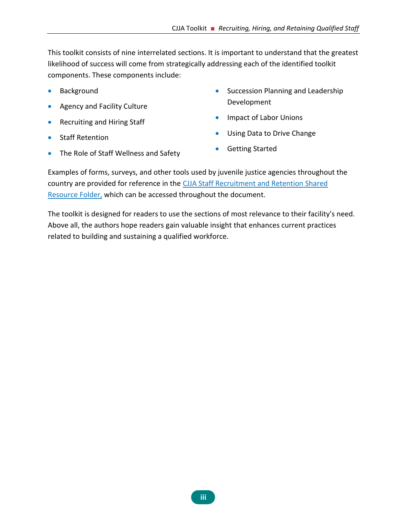This toolkit consists of nine interrelated sections. It is important to understand that the greatest likelihood of success will come from strategically addressing each of the identified toolkit components. These components include:

- **Background**
- Agency and Facility Culture
- Recruiting and Hiring Staff
- Staff Retention
- Succession Planning and Leadership Development
- Impact of Labor Unions
- Using Data to Drive Change
- Getting Started
- The Role of Staff Wellness and Safety

Examples of forms, surveys, and other tools used by juvenile justice agencies throughout the country are provided for reference in the [CJJA Staff Recruitment and Retention Shared](https://1drv.ms/f/s!Ais_7JaHgPh3gotIWHCtPx1afGqKHg)  [Resource Folder,](https://1drv.ms/f/s!Ais_7JaHgPh3gotIWHCtPx1afGqKHg) which can be accessed throughout the document.

The toolkit is designed for readers to use the sections of most relevance to their facility's need. Above all, the authors hope readers gain valuable insight that enhances current practices related to building and sustaining a qualified workforce.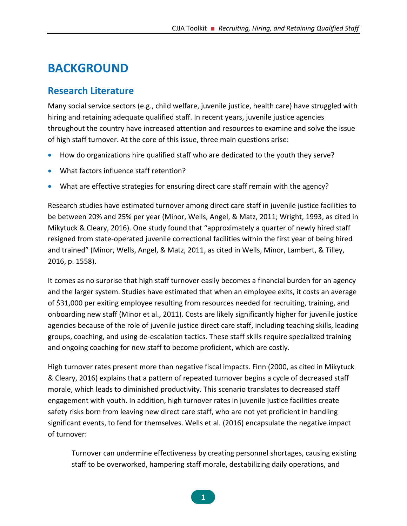# <span id="page-7-0"></span>**BACKGROUND**

## <span id="page-7-1"></span>**Research Literature**

Many social service sectors (e.g., child welfare, juvenile justice, health care) have struggled with hiring and retaining adequate qualified staff. In recent years, juvenile justice agencies throughout the country have increased attention and resources to examine and solve the issue of high staff turnover. At the core of this issue, three main questions arise:

- How do organizations hire qualified staff who are dedicated to the youth they serve?
- What factors influence staff retention?
- What are effective strategies for ensuring direct care staff remain with the agency?

Research studies have estimated turnover among direct care staff in juvenile justice facilities to be between 20% and 25% per year (Minor, Wells, Angel, & Matz, 2011; Wright, 1993, as cited in Mikytuck & Cleary, 2016). One study found that "approximately a quarter of newly hired staff resigned from state-operated juvenile correctional facilities within the first year of being hired and trained" (Minor, Wells, Angel, & Matz, 2011, as cited in Wells, Minor, Lambert, & Tilley, 2016, p. 1558).

It comes as no surprise that high staff turnover easily becomes a financial burden for an agency and the larger system. Studies have estimated that when an employee exits, it costs an average of \$31,000 per exiting employee resulting from resources needed for recruiting, training, and onboarding new staff (Minor et al., 2011). Costs are likely significantly higher for juvenile justice agencies because of the role of juvenile justice direct care staff, including teaching skills, leading groups, coaching, and using de-escalation tactics. These staff skills require specialized training and ongoing coaching for new staff to become proficient, which are costly.

High turnover rates present more than negative fiscal impacts. Finn (2000, as cited in Mikytuck & Cleary, 2016) explains that a pattern of repeated turnover begins a cycle of decreased staff morale, which leads to diminished productivity. This scenario translates to decreased staff engagement with youth. In addition, high turnover rates in juvenile justice facilities create safety risks born from leaving new direct care staff, who are not yet proficient in handling significant events, to fend for themselves. Wells et al. (2016) encapsulate the negative impact of turnover:

Turnover can undermine effectiveness by creating personnel shortages, causing existing staff to be overworked, hampering staff morale, destabilizing daily operations, and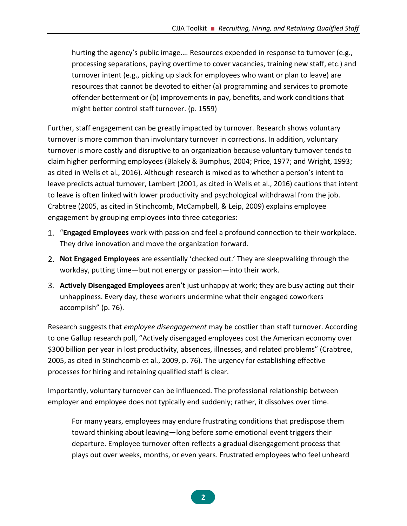hurting the agency's public image…. Resources expended in response to turnover (e.g., processing separations, paying overtime to cover vacancies, training new staff, etc.) and turnover intent (e.g., picking up slack for employees who want or plan to leave) are resources that cannot be devoted to either (a) programming and services to promote offender betterment or (b) improvements in pay, benefits, and work conditions that might better control staff turnover. (p. 1559)

Further, staff engagement can be greatly impacted by turnover. Research shows voluntary turnover is more common than involuntary turnover in corrections. In addition, voluntary turnover is more costly and disruptive to an organization because voluntary turnover tends to claim higher performing employees (Blakely & Bumphus, 2004; Price, 1977; and Wright, 1993; as cited in Wells et al., 2016). Although research is mixed as to whether a person's intent to leave predicts actual turnover, Lambert (2001, as cited in Wells et al., 2016) cautions that intent to leave is often linked with lower productivity and psychological withdrawal from the job. Crabtree (2005, as cited in Stinchcomb, McCampbell, & Leip, 2009) explains employee engagement by grouping employees into three categories:

- "**Engaged Employees** work with passion and feel a profound connection to their workplace. They drive innovation and move the organization forward.
- **Not Engaged Employees** are essentially 'checked out.' They are sleepwalking through the workday, putting time—but not energy or passion—into their work.
- **Actively Disengaged Employees** aren't just unhappy at work; they are busy acting out their unhappiness. Every day, these workers undermine what their engaged coworkers accomplish" (p. 76).

Research suggests that *employee disengagement* may be costlier than staff turnover. According to one Gallup research poll, "Actively disengaged employees cost the American economy over \$300 billion per year in lost productivity, absences, illnesses, and related problems" (Crabtree, 2005, as cited in Stinchcomb et al., 2009, p. 76). The urgency for establishing effective processes for hiring and retaining qualified staff is clear.

Importantly, voluntary turnover can be influenced. The professional relationship between employer and employee does not typically end suddenly; rather, it dissolves over time.

For many years, employees may endure frustrating conditions that predispose them toward thinking about leaving—long before some emotional event triggers their departure. Employee turnover often reflects a gradual disengagement process that plays out over weeks, months, or even years. Frustrated employees who feel unheard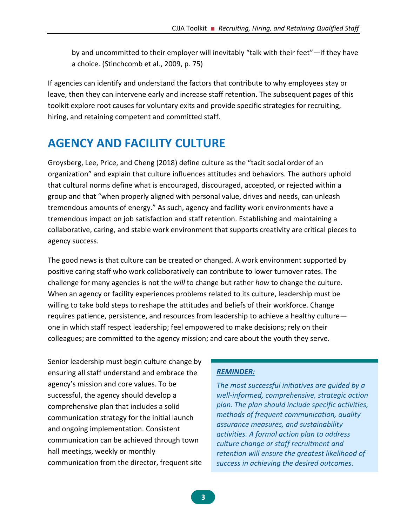by and uncommitted to their employer will inevitably "talk with their feet"—if they have a choice. (Stinchcomb et al., 2009, p. 75)

If agencies can identify and understand the factors that contribute to why employees stay or leave, then they can intervene early and increase staff retention. The subsequent pages of this toolkit explore root causes for voluntary exits and provide specific strategies for recruiting, hiring, and retaining competent and committed staff.

# <span id="page-9-0"></span>**AGENCY AND FACILITY CULTURE**

Groysberg, Lee, Price, and Cheng (2018) define culture as the "tacit social order of an organization" and explain that culture influences attitudes and behaviors. The authors uphold that cultural norms define what is encouraged, discouraged, accepted, or rejected within a group and that "when properly aligned with personal value, drives and needs, can unleash tremendous amounts of energy." As such, agency and facility work environments have a tremendous impact on job satisfaction and staff retention. Establishing and maintaining a collaborative, caring, and stable work environment that supports creativity are critical pieces to agency success.

The good news is that culture can be created or changed. A work environment supported by positive caring staff who work collaboratively can contribute to lower turnover rates. The challenge for many agencies is not the *will* to change but rather *how* to change the culture. When an agency or facility experiences problems related to its culture, leadership must be willing to take bold steps to reshape the attitudes and beliefs of their workforce. Change requires patience, persistence, and resources from leadership to achieve a healthy culture one in which staff respect leadership; feel empowered to make decisions; rely on their colleagues; are committed to the agency mission; and care about the youth they serve.

Senior leadership must begin culture change by ensuring all staff understand and embrace the agency's mission and core values. To be successful, the agency should develop a comprehensive plan that includes a solid communication strategy for the initial launch and ongoing implementation. Consistent communication can be achieved through town hall meetings, weekly or monthly communication from the director, frequent site

#### *REMINDER:*

*The most successful initiatives are guided by a well-informed, comprehensive, strategic action plan. The plan should include specific activities, methods of frequent communication, quality assurance measures, and sustainability activities. A formal action plan to address culture change or staff recruitment and retention will ensure the greatest likelihood of success in achieving the desired outcomes.*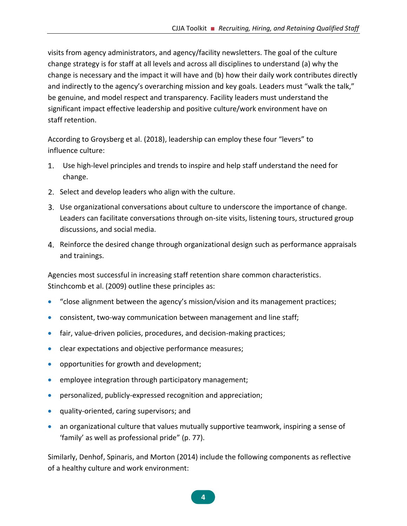visits from agency administrators, and agency/facility newsletters. The goal of the culture change strategy is for staff at all levels and across all disciplines to understand (a) why the change is necessary and the impact it will have and (b) how their daily work contributes directly and indirectly to the agency's overarching mission and key goals. Leaders must "walk the talk," be genuine, and model respect and transparency. Facility leaders must understand the significant impact effective leadership and positive culture/work environment have on staff retention.

According to Groysberg et al. (2018), leadership can employ these four "levers" to influence culture:

- Use high-level principles and trends to inspire and help staff understand the need for change.
- 2. Select and develop leaders who align with the culture.
- Use organizational conversations about culture to underscore the importance of change. Leaders can facilitate conversations through on-site visits, listening tours, structured group discussions, and social media.
- 4. Reinforce the desired change through organizational design such as performance appraisals and trainings.

Agencies most successful in increasing staff retention share common characteristics. Stinchcomb et al. (2009) outline these principles as:

- "close alignment between the agency's mission/vision and its management practices;
- consistent, two-way communication between management and line staff;
- fair, value-driven policies, procedures, and decision-making practices;
- clear expectations and objective performance measures;
- opportunities for growth and development;
- employee integration through participatory management;
- personalized, publicly-expressed recognition and appreciation;
- quality-oriented, caring supervisors; and
- an organizational culture that values mutually supportive teamwork, inspiring a sense of 'family' as well as professional pride" (p. 77).

Similarly, Denhof, Spinaris, and Morton (2014) include the following components as reflective of a healthy culture and work environment:

**4**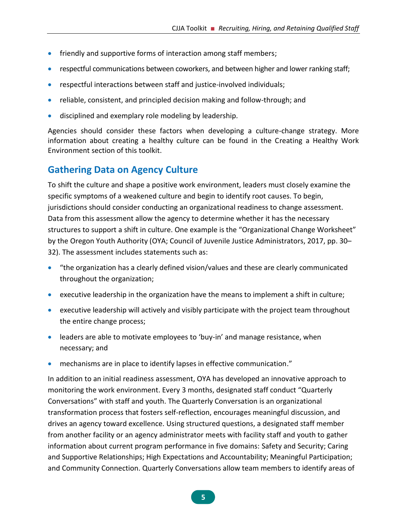- friendly and supportive forms of interaction among staff members;
- respectful communications between coworkers, and between higher and lower ranking staff;
- respectful interactions between staff and justice-involved individuals;
- reliable, consistent, and principled decision making and follow-through; and
- disciplined and exemplary role modeling by leadership*.*

Agencies should consider these factors when developing a culture-change strategy. More information about creating a healthy culture can be found in the Creating a Healthy Work Environment section of this toolkit.

# <span id="page-11-0"></span>**Gathering Data on Agency Culture**

To shift the culture and shape a positive work environment, leaders must closely examine the specific symptoms of a weakened culture and begin to identify root causes. To begin, jurisdictions should consider conducting an organizational readiness to change assessment. Data from this assessment allow the agency to determine whether it has the necessary structures to support a shift in culture. One example is the "Organizational Change Worksheet" by the Oregon Youth Authority (OYA; Council of Juvenile Justice Administrators, 2017, pp. 30– 32). The assessment includes statements such as:

- "the organization has a clearly defined vision/values and these are clearly communicated throughout the organization;
- executive leadership in the organization have the means to implement a shift in culture;
- executive leadership will actively and visibly participate with the project team throughout the entire change process;
- leaders are able to motivate employees to 'buy-in' and manage resistance, when necessary; and
- mechanisms are in place to identify lapses in effective communication."

In addition to an initial readiness assessment, OYA has developed an innovative approach to monitoring the work environment. Every 3 months, designated staff conduct "Quarterly Conversations" with staff and youth. The Quarterly Conversation is an organizational transformation process that fosters self-reflection, encourages meaningful discussion, and drives an agency toward excellence. Using structured questions, a designated staff member from another facility or an agency administrator meets with facility staff and youth to gather information about current program performance in five domains: Safety and Security; Caring and Supportive Relationships; High Expectations and Accountability; Meaningful Participation; and Community Connection. Quarterly Conversations allow team members to identify areas of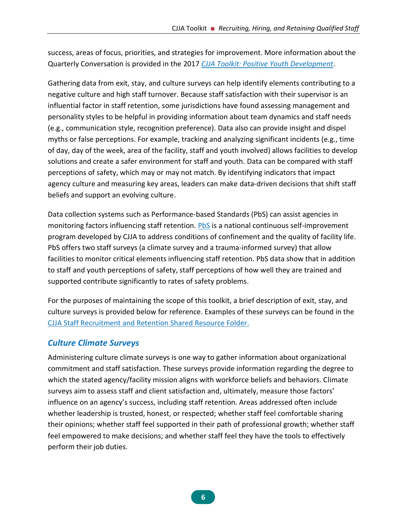success, areas of focus, priorities, and strategies for improvement. More information about the Quarterly Conversation is provided in the 2017 *[CJJA Toolkit: Positive Youth Development](http://cjca.net/publications/)*.

Gathering data from exit, stay, and culture surveys can help identify elements contributing to a negative culture and high staff turnover. Because staff satisfaction with their supervisor is an influential factor in staff retention, some jurisdictions have found assessing management and personality styles to be helpful in providing information about team dynamics and staff needs (e.g., communication style, recognition preference). Data also can provide insight and dispel myths or false perceptions. For example, tracking and analyzing significant incidents (e.g., time of day, day of the week, area of the facility, staff and youth involved) allows facilities to develop solutions and create a safer environment for staff and youth. Data can be compared with staff perceptions of safety, which may or may not match. By identifying indicators that impact agency culture and measuring key areas, leaders can make data-driven decisions that shift staff beliefs and support an evolving culture.

Data collection systems such as Performance-based Standards (PbS) can assist agencies in monitoring factors influencing staff retention. **PbS** is a national continuous self-improvement program developed by CJJA to address conditions of confinement and the quality of facility life. PbS offers two staff surveys (a climate survey and a trauma-informed survey) that allow facilities to monitor critical elements influencing staff retention. PbS data show that in addition to staff and youth perceptions of safety, staff perceptions of how well they are trained and supported contribute significantly to rates of safety problems.

For the purposes of maintaining the scope of this toolkit, a brief description of exit, stay, and culture surveys is provided below for reference. Examples of these surveys can be found in the [CJJA Staff Recruitment and Retention Shared Resource Folder.](https://1drv.ms/f/s!Ais_7JaHgPh3gotIWHCtPx1afGqKHg)

#### *Culture Climate Surveys*

Administering culture climate surveys is one way to gather information about organizational commitment and staff satisfaction. These surveys provide information regarding the degree to which the stated agency/facility mission aligns with workforce beliefs and behaviors. Climate surveys aim to assess staff and client satisfaction and, ultimately, measure those factors' influence on an agency's success, including staff retention. Areas addressed often include whether leadership is trusted, honest, or respected; whether staff feel comfortable sharing their opinions; whether staff feel supported in their path of professional growth; whether staff feel empowered to make decisions; and whether staff feel they have the tools to effectively perform their job duties.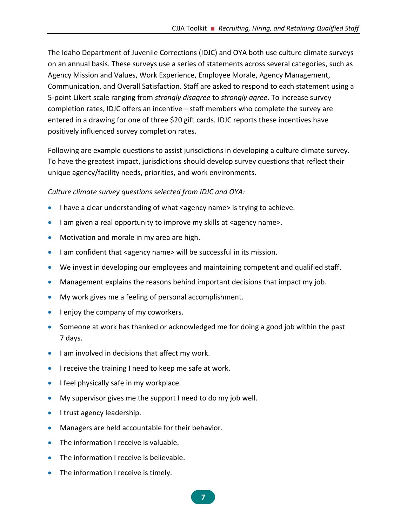The Idaho Department of Juvenile Corrections (IDJC) and OYA both use culture climate surveys on an annual basis. These surveys use a series of statements across several categories, such as Agency Mission and Values, Work Experience, Employee Morale, Agency Management, Communication, and Overall Satisfaction. Staff are asked to respond to each statement using a 5-point Likert scale ranging from *strongly disagree* to *strongly agree*. To increase survey completion rates, IDJC offers an incentive—staff members who complete the survey are entered in a drawing for one of three \$20 gift cards. IDJC reports these incentives have positively influenced survey completion rates.

Following are example questions to assist jurisdictions in developing a culture climate survey. To have the greatest impact, jurisdictions should develop survey questions that reflect their unique agency/facility needs, priorities, and work environments.

#### *Culture climate survey questions selected from IDJC and OYA:*

- I have a clear understanding of what <agency name> is trying to achieve.
- I am given a real opportunity to improve my skills at <agency name>.
- Motivation and morale in my area are high.
- I am confident that <agency name> will be successful in its mission.
- We invest in developing our employees and maintaining competent and qualified staff.
- Management explains the reasons behind important decisions that impact my job.
- My work gives me a feeling of personal accomplishment.
- I enjoy the company of my coworkers.
- Someone at work has thanked or acknowledged me for doing a good job within the past 7 days.
- I am involved in decisions that affect my work.
- I receive the training I need to keep me safe at work.
- I feel physically safe in my workplace.
- My supervisor gives me the support I need to do my job well.
- I trust agency leadership.
- Managers are held accountable for their behavior.
- The information I receive is valuable.
- The information I receive is believable.
- The information I receive is timely.

**7**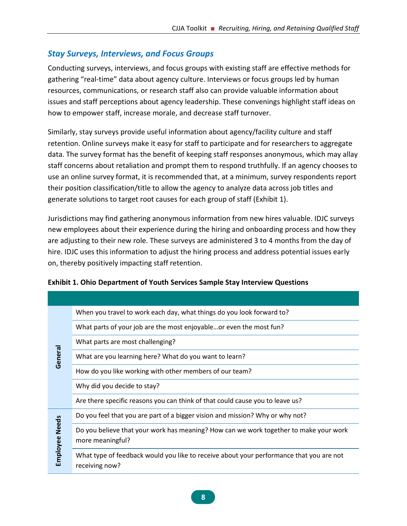#### *Stay Surveys, Interviews, and Focus Groups*

Conducting surveys, interviews, and focus groups with existing staff are effective methods for gathering "real-time" data about agency culture. Interviews or focus groups led by human resources, communications, or research staff also can provide valuable information about issues and staff perceptions about agency leadership. These convenings highlight staff ideas on how to empower staff, increase morale, and decrease staff turnover.

Similarly, stay surveys provide useful information about agency/facility culture and staff retention. Online surveys make it easy for staff to participate and for researchers to aggregate data. The survey format has the benefit of keeping staff responses anonymous, which may allay staff concerns about retaliation and prompt them to respond truthfully. If an agency chooses to use an online survey format, it is recommended that, at a minimum, survey respondents report their position classification/title to allow the agency to analyze data across job titles and generate solutions to target root causes for each group of staff (Exhibit 1).

Jurisdictions may find gathering anonymous information from new hires valuable. IDJC surveys new employees about their experience during the hiring and onboarding process and how they are adjusting to their new role. These surveys are administered 3 to 4 months from the day of hire. IDJC uses this information to adjust the hiring process and address potential issues early on, thereby positively impacting staff retention.

|                       | When you travel to work each day, what things do you look forward to?                                     |
|-----------------------|-----------------------------------------------------------------------------------------------------------|
|                       | What parts of your job are the most enjoyableor even the most fun?                                        |
|                       | What parts are most challenging?                                                                          |
| General               | What are you learning here? What do you want to learn?                                                    |
|                       | How do you like working with other members of our team?                                                   |
|                       | Why did you decide to stay?                                                                               |
|                       | Are there specific reasons you can think of that could cause you to leave us?                             |
|                       | Do you feel that you are part of a bigger vision and mission? Why or why not?                             |
| <b>Employee Needs</b> | Do you believe that your work has meaning? How can we work together to make your work<br>more meaningful? |
|                       | What type of feedback would you like to receive about your performance that you are not<br>receiving now? |

#### <span id="page-14-0"></span>**Exhibit 1. Ohio Department of Youth Services Sample Stay Interview Questions**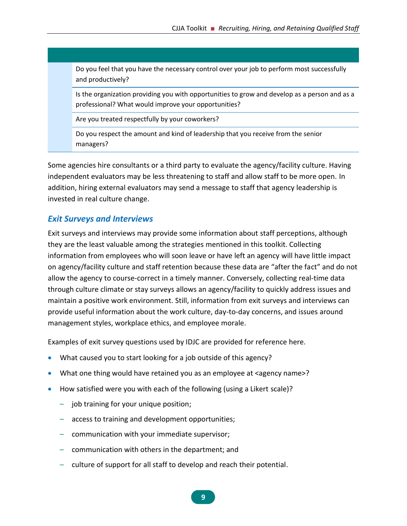Do you feel that you have the necessary control over your job to perform most successfully and productively?

Is the organization providing you with opportunities to grow and develop as a person and as a professional? What would improve your opportunities?

Are you treated respectfully by your coworkers?

Do you respect the amount and kind of leadership that you receive from the senior managers?

Some agencies hire consultants or a third party to evaluate the agency/facility culture. Having independent evaluators may be less threatening to staff and allow staff to be more open. In addition, hiring external evaluators may send a message to staff that agency leadership is invested in real culture change.

#### *Exit Surveys and Interviews*

Exit surveys and interviews may provide some information about staff perceptions, although they are the least valuable among the strategies mentioned in this toolkit. Collecting information from employees who will soon leave or have left an agency will have little impact on agency/facility culture and staff retention because these data are "after the fact" and do not allow the agency to course-correct in a timely manner. Conversely, collecting real-time data through culture climate or stay surveys allows an agency/facility to quickly address issues and maintain a positive work environment. Still, information from exit surveys and interviews can provide useful information about the work culture, day-to-day concerns, and issues around management styles, workplace ethics, and employee morale.

Examples of exit survey questions used by IDJC are provided for reference here.

- What caused you to start looking for a job outside of this agency?
- What one thing would have retained you as an employee at <agency name>?
- How satisfied were you with each of the following (using a Likert scale)?
	- job training for your unique position;
	- access to training and development opportunities;
	- communication with your immediate supervisor;
	- communication with others in the department; and
	- culture of support for all staff to develop and reach their potential.

**9**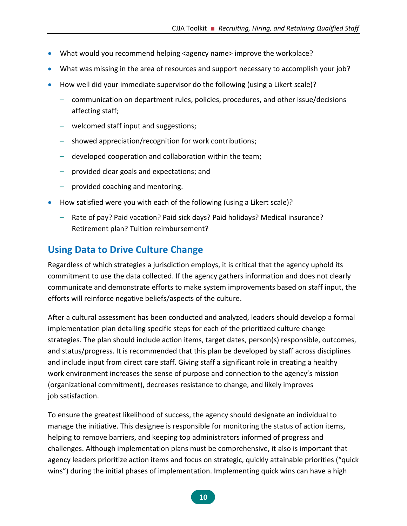- What would you recommend helping <agency name> improve the workplace?
- What was missing in the area of resources and support necessary to accomplish your job?
- How well did your immediate supervisor do the following (using a Likert scale)?
	- communication on department rules, policies, procedures, and other issue/decisions affecting staff;
	- welcomed staff input and suggestions;
	- showed appreciation/recognition for work contributions;
	- developed cooperation and collaboration within the team;
	- provided clear goals and expectations; and
	- provided coaching and mentoring.
- How satisfied were you with each of the following (using a Likert scale)?
	- Rate of pay? Paid vacation? Paid sick days? Paid holidays? Medical insurance? Retirement plan? Tuition reimbursement?

## <span id="page-16-0"></span>**Using Data to Drive Culture Change**

Regardless of which strategies a jurisdiction employs, it is critical that the agency uphold its commitment to use the data collected. If the agency gathers information and does not clearly communicate and demonstrate efforts to make system improvements based on staff input, the efforts will reinforce negative beliefs/aspects of the culture.

After a cultural assessment has been conducted and analyzed, leaders should develop a formal implementation plan detailing specific steps for each of the prioritized culture change strategies. The plan should include action items, target dates, person(s) responsible, outcomes, and status/progress. It is recommended that this plan be developed by staff across disciplines and include input from direct care staff. Giving staff a significant role in creating a healthy work environment increases the sense of purpose and connection to the agency's mission (organizational commitment), decreases resistance to change, and likely improves job satisfaction.

To ensure the greatest likelihood of success, the agency should designate an individual to manage the initiative. This designee is responsible for monitoring the status of action items, helping to remove barriers, and keeping top administrators informed of progress and challenges. Although implementation plans must be comprehensive, it also is important that agency leaders prioritize action items and focus on strategic, quickly attainable priorities ("quick wins") during the initial phases of implementation. Implementing quick wins can have a high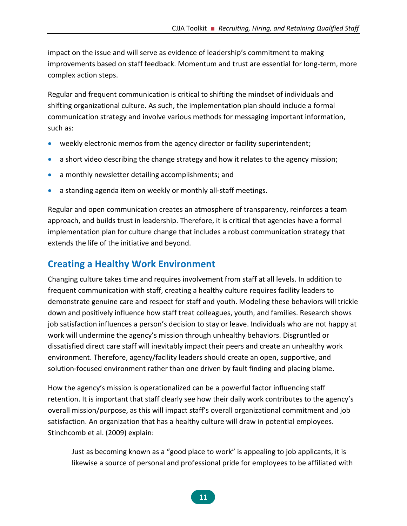impact on the issue and will serve as evidence of leadership's commitment to making improvements based on staff feedback. Momentum and trust are essential for long-term, more complex action steps.

Regular and frequent communication is critical to shifting the mindset of individuals and shifting organizational culture. As such, the implementation plan should include a formal communication strategy and involve various methods for messaging important information, such as:

- weekly electronic memos from the agency director or facility superintendent;
- a short video describing the change strategy and how it relates to the agency mission;
- a monthly newsletter detailing accomplishments; and
- a standing agenda item on weekly or monthly all-staff meetings.

Regular and open communication creates an atmosphere of transparency, reinforces a team approach, and builds trust in leadership. Therefore, it is critical that agencies have a formal implementation plan for culture change that includes a robust communication strategy that extends the life of the initiative and beyond.

### <span id="page-17-0"></span>**Creating a Healthy Work Environment**

Changing culture takes time and requires involvement from staff at all levels. In addition to frequent communication with staff, creating a healthy culture requires facility leaders to demonstrate genuine care and respect for staff and youth. Modeling these behaviors will trickle down and positively influence how staff treat colleagues, youth, and families. Research shows job satisfaction influences a person's decision to stay or leave. Individuals who are not happy at work will undermine the agency's mission through unhealthy behaviors. Disgruntled or dissatisfied direct care staff will inevitably impact their peers and create an unhealthy work environment. Therefore, agency/facility leaders should create an open, supportive, and solution-focused environment rather than one driven by fault finding and placing blame.

How the agency's mission is operationalized can be a powerful factor influencing staff retention. It is important that staff clearly see how their daily work contributes to the agency's overall mission/purpose, as this will impact staff's overall organizational commitment and job satisfaction. An organization that has a healthy culture will draw in potential employees. Stinchcomb et al. (2009) explain:

Just as becoming known as a "good place to work" is appealing to job applicants, it is likewise a source of personal and professional pride for employees to be affiliated with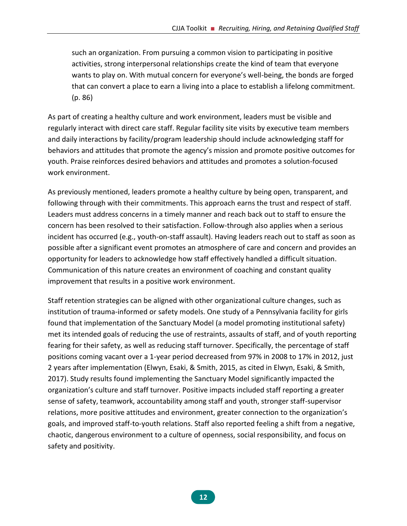such an organization. From pursuing a common vision to participating in positive activities, strong interpersonal relationships create the kind of team that everyone wants to play on. With mutual concern for everyone's well-being, the bonds are forged that can convert a place to earn a living into a place to establish a lifelong commitment. (p. 86)

As part of creating a healthy culture and work environment, leaders must be visible and regularly interact with direct care staff. Regular facility site visits by executive team members and daily interactions by facility/program leadership should include acknowledging staff for behaviors and attitudes that promote the agency's mission and promote positive outcomes for youth. Praise reinforces desired behaviors and attitudes and promotes a solution-focused work environment.

As previously mentioned, leaders promote a healthy culture by being open, transparent, and following through with their commitments. This approach earns the trust and respect of staff. Leaders must address concerns in a timely manner and reach back out to staff to ensure the concern has been resolved to their satisfaction. Follow-through also applies when a serious incident has occurred (e.g., youth-on-staff assault). Having leaders reach out to staff as soon as possible after a significant event promotes an atmosphere of care and concern and provides an opportunity for leaders to acknowledge how staff effectively handled a difficult situation. Communication of this nature creates an environment of coaching and constant quality improvement that results in a positive work environment.

Staff retention strategies can be aligned with other organizational culture changes, such as institution of trauma-informed or safety models. One study of a Pennsylvania facility for girls found that implementation of the Sanctuary Model (a model promoting institutional safety) met its intended goals of reducing the use of restraints, assaults of staff, and of youth reporting fearing for their safety, as well as reducing staff turnover. Specifically, the percentage of staff positions coming vacant over a 1-year period decreased from 97% in 2008 to 17% in 2012, just 2 years after implementation (Elwyn, Esaki, & Smith, 2015, as cited in Elwyn, Esaki, & Smith, 2017). Study results found implementing the Sanctuary Model significantly impacted the organization's culture and staff turnover. Positive impacts included staff reporting a greater sense of safety, teamwork, accountability among staff and youth, stronger staff-supervisor relations, more positive attitudes and environment, greater connection to the organization's goals, and improved staff-to-youth relations. Staff also reported feeling a shift from a negative, chaotic, dangerous environment to a culture of openness, social responsibility, and focus on safety and positivity.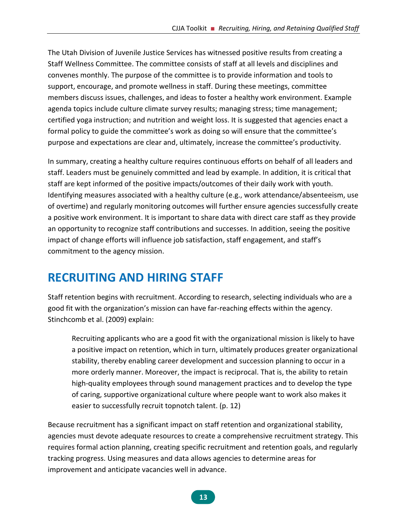The Utah Division of Juvenile Justice Services has witnessed positive results from creating a Staff Wellness Committee. The committee consists of staff at all levels and disciplines and convenes monthly. The purpose of the committee is to provide information and tools to support, encourage, and promote wellness in staff. During these meetings, committee members discuss issues, challenges, and ideas to foster a healthy work environment. Example agenda topics include culture climate survey results; managing stress; time management; certified yoga instruction; and nutrition and weight loss. It is suggested that agencies enact a formal policy to guide the committee's work as doing so will ensure that the committee's purpose and expectations are clear and, ultimately, increase the committee's productivity.

In summary, creating a healthy culture requires continuous efforts on behalf of all leaders and staff. Leaders must be genuinely committed and lead by example. In addition, it is critical that staff are kept informed of the positive impacts/outcomes of their daily work with youth. Identifying measures associated with a healthy culture (e.g., work attendance/absenteeism, use of overtime) and regularly monitoring outcomes will further ensure agencies successfully create a positive work environment. It is important to share data with direct care staff as they provide an opportunity to recognize staff contributions and successes. In addition, seeing the positive impact of change efforts will influence job satisfaction, staff engagement, and staff's commitment to the agency mission.

# <span id="page-19-0"></span>**RECRUITING AND HIRING STAFF**

Staff retention begins with recruitment. According to research, selecting individuals who are a good fit with the organization's mission can have far-reaching effects within the agency. Stinchcomb et al. (2009) explain:

Recruiting applicants who are a good fit with the organizational mission is likely to have a positive impact on retention, which in turn, ultimately produces greater organizational stability, thereby enabling career development and succession planning to occur in a more orderly manner. Moreover, the impact is reciprocal. That is, the ability to retain high-quality employees through sound management practices and to develop the type of caring, supportive organizational culture where people want to work also makes it easier to successfully recruit topnotch talent. (p. 12)

Because recruitment has a significant impact on staff retention and organizational stability, agencies must devote adequate resources to create a comprehensive recruitment strategy. This requires formal action planning, creating specific recruitment and retention goals, and regularly tracking progress. Using measures and data allows agencies to determine areas for improvement and anticipate vacancies well in advance.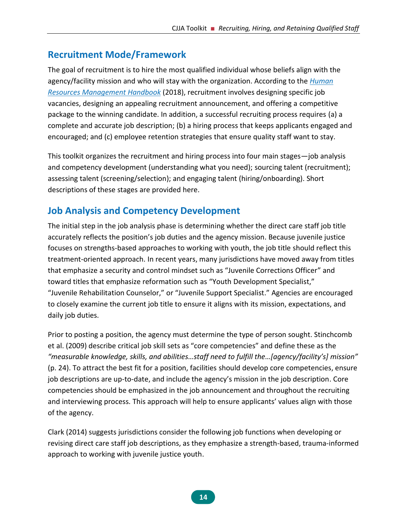# <span id="page-20-0"></span>**Recruitment Mode/Framework**

The goal of recruitment is to hire the most qualified individual whose beliefs align with the agency/facility mission and who will stay with the organization. According to the *[Human](https://www.hrmhandbook.com/)  [Resources Management Handbook](https://www.hrmhandbook.com/)* (2018), recruitment involves designing specific job vacancies, designing an appealing recruitment announcement, and offering a competitive package to the winning candidate. In addition, a successful recruiting process requires (a) a complete and accurate job description; (b) a hiring process that keeps applicants engaged and encouraged; and (c) employee retention strategies that ensure quality staff want to stay.

This toolkit organizes the recruitment and hiring process into four main stages—job analysis and competency development (understanding what you need); sourcing talent (recruitment); assessing talent (screening/selection); and engaging talent (hiring/onboarding). Short descriptions of these stages are provided here.

# <span id="page-20-1"></span>**Job Analysis and Competency Development**

The initial step in the job analysis phase is determining whether the direct care staff job title accurately reflects the position's job duties and the agency mission. Because juvenile justice focuses on strengths-based approaches to working with youth, the job title should reflect this treatment-oriented approach. In recent years, many jurisdictions have moved away from titles that emphasize a security and control mindset such as "Juvenile Corrections Officer" and toward titles that emphasize reformation such as "Youth Development Specialist," "Juvenile Rehabilitation Counselor," or "Juvenile Support Specialist." Agencies are encouraged to closely examine the current job title to ensure it aligns with its mission, expectations, and daily job duties.

Prior to posting a position, the agency must determine the type of person sought. Stinchcomb et al. (2009) describe critical job skill sets as "core competencies" and define these as the *"measurable knowledge, skills, and abilities…staff need to fulfill the…[agency/facility's] mission"* (p. 24). To attract the best fit for a position, facilities should develop core competencies, ensure job descriptions are up-to-date, and include the agency's mission in the job description. Core competencies should be emphasized in the job announcement and throughout the recruiting and interviewing process. This approach will help to ensure applicants' values align with those of the agency.

Clark (2014) suggests jurisdictions consider the following job functions when developing or revising direct care staff job descriptions, as they emphasize a strength-based, trauma-informed approach to working with juvenile justice youth.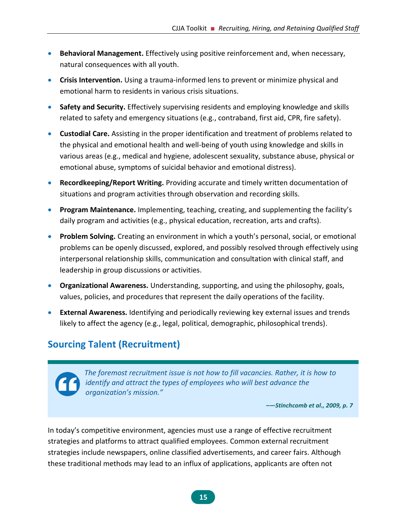- **Behavioral Management.** Effectively using positive reinforcement and, when necessary, natural consequences with all youth.
- **Crisis Intervention.** Using a trauma-informed lens to prevent or minimize physical and emotional harm to residents in various crisis situations.
- **Safety and Security.** Effectively supervising residents and employing knowledge and skills related to safety and emergency situations (e.g., contraband, first aid, CPR, fire safety).
- **Custodial Care.** Assisting in the proper identification and treatment of problems related to the physical and emotional health and well-being of youth using knowledge and skills in various areas (e.g., medical and hygiene, adolescent sexuality, substance abuse, physical or emotional abuse, symptoms of suicidal behavior and emotional distress).
- **Recordkeeping/Report Writing.** Providing accurate and timely written documentation of situations and program activities through observation and recording skills.
- **Program Maintenance.** Implementing, teaching, creating, and supplementing the facility's daily program and activities (e.g., physical education, recreation, arts and crafts).
- **Problem Solving.** Creating an environment in which a youth's personal, social, or emotional problems can be openly discussed, explored, and possibly resolved through effectively using interpersonal relationship skills, communication and consultation with clinical staff, and leadership in group discussions or activities.
- **Organizational Awareness.** Understanding, supporting, and using the philosophy, goals, values, policies, and procedures that represent the daily operations of the facility.
- **External Awareness.** Identifying and periodically reviewing key external issues and trends likely to affect the agency (e.g., legal, political, demographic, philosophical trends).

# <span id="page-21-0"></span>**Sourcing Talent (Recruitment)**

*The foremost recruitment issue is not how to fill vacancies. Rather, it is how to identify and attract the types of employees who will best advance the organization's mission."*

*–—Stinchcomb et al., 2009, p. 7*

In today's competitive environment, agencies must use a range of effective recruitment strategies and platforms to attract qualified employees. Common external recruitment strategies include newspapers, online classified advertisements, and career fairs. Although these traditional methods may lead to an influx of applications, applicants are often not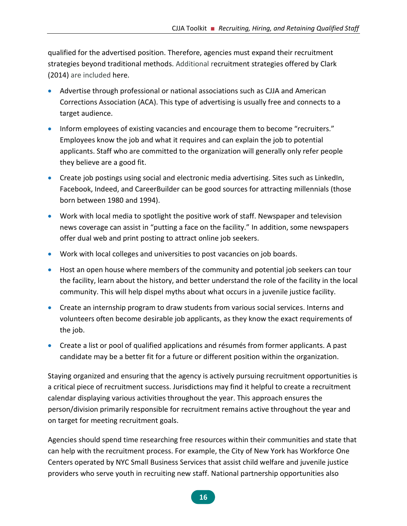qualified for the advertised position. Therefore, agencies must expand their recruitment strategies beyond traditional methods. Additional recruitment strategies offered by Clark (2014) are included here.

- Advertise through professional or national associations such as CJJA and American Corrections Association (ACA). This type of advertising is usually free and connects to a target audience.
- Inform employees of existing vacancies and encourage them to become "recruiters." Employees know the job and what it requires and can explain the job to potential applicants. Staff who are committed to the organization will generally only refer people they believe are a good fit.
- Create job postings using social and electronic media advertising. Sites such as LinkedIn, Facebook, Indeed, and CareerBuilder can be good sources for attracting millennials (those born between 1980 and 1994).
- Work with local media to spotlight the positive work of staff. Newspaper and television news coverage can assist in "putting a face on the facility." In addition, some newspapers offer dual web and print posting to attract online job seekers.
- Work with local colleges and universities to post vacancies on job boards.
- Host an open house where members of the community and potential job seekers can tour the facility, learn about the history, and better understand the role of the facility in the local community. This will help dispel myths about what occurs in a juvenile justice facility.
- Create an internship program to draw students from various social services. Interns and volunteers often become desirable job applicants, as they know the exact requirements of the job.
- Create a list or pool of qualified applications and résumés from former applicants. A past candidate may be a better fit for a future or different position within the organization.

Staying organized and ensuring that the agency is actively pursuing recruitment opportunities is a critical piece of recruitment success. Jurisdictions may find it helpful to create a recruitment calendar displaying various activities throughout the year. This approach ensures the person/division primarily responsible for recruitment remains active throughout the year and on target for meeting recruitment goals.

Agencies should spend time researching free resources within their communities and state that can help with the recruitment process. For example, the City of New York has Workforce One Centers operated by NYC Small Business Services that assist child welfare and juvenile justice providers who serve youth in recruiting new staff. National partnership opportunities also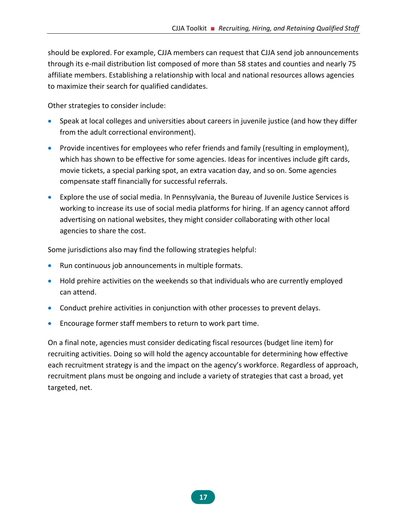should be explored. For example, CJJA members can request that CJJA send job announcements through its e-mail distribution list composed of more than 58 states and counties and nearly 75 affiliate members. Establishing a relationship with local and national resources allows agencies to maximize their search for qualified candidates.

Other strategies to consider include:

- Speak at local colleges and universities about careers in juvenile justice (and how they differ from the adult correctional environment).
- Provide incentives for employees who refer friends and family (resulting in employment), which has shown to be effective for some agencies. Ideas for incentives include gift cards, movie tickets, a special parking spot, an extra vacation day, and so on. Some agencies compensate staff financially for successful referrals.
- Explore the use of social media. In Pennsylvania, the Bureau of Juvenile Justice Services is working to increase its use of social media platforms for hiring. If an agency cannot afford advertising on national websites, they might consider collaborating with other local agencies to share the cost.

Some jurisdictions also may find the following strategies helpful:

- Run continuous job announcements in multiple formats.
- Hold prehire activities on the weekends so that individuals who are currently employed can attend.
- Conduct prehire activities in conjunction with other processes to prevent delays.
- Encourage former staff members to return to work part time.

On a final note, agencies must consider dedicating fiscal resources (budget line item) for recruiting activities. Doing so will hold the agency accountable for determining how effective each recruitment strategy is and the impact on the agency's workforce. Regardless of approach, recruitment plans must be ongoing and include a variety of strategies that cast a broad, yet targeted, net.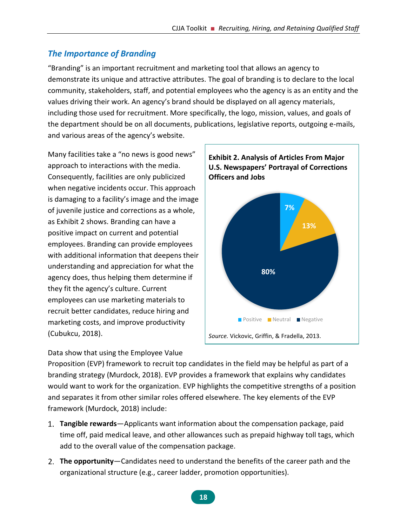### *The Importance of Branding*

"Branding" is an important recruitment and marketing tool that allows an agency to demonstrate its unique and attractive attributes. The goal of branding is to declare to the local community, stakeholders, staff, and potential employees who the agency is as an entity and the values driving their work. An agency's brand should be displayed on all agency materials, including those used for recruitment. More specifically, the logo, mission, values, and goals of the department should be on all documents, publications, legislative reports, outgoing e-mails, and various areas of the agency's website.

Many facilities take a "no news is good news" approach to interactions with the media. Consequently, facilities are only publicized when negative incidents occur. This approach is damaging to a facility's image and the image of juvenile justice and corrections as a whole, as Exhibit 2 shows. Branding can have a positive impact on current and potential employees. Branding can provide employees with additional information that deepens their understanding and appreciation for what the agency does, thus helping them determine if they fit the agency's culture. Current employees can use marketing materials to recruit better candidates, reduce hiring and marketing costs, and improve productivity (Cubukcu, 2018).

Data show that using the Employee Value

<span id="page-24-0"></span>

Proposition (EVP) framework to recruit top candidates in the field may be helpful as part of a branding strategy (Murdock, 2018). EVP provides a framework that explains why candidates would want to work for the organization. EVP highlights the competitive strengths of a position and separates it from other similar roles offered elsewhere. The key elements of the EVP framework (Murdock, 2018) include:

- **Tangible rewards**—Applicants want information about the compensation package, paid time off, paid medical leave, and other allowances such as prepaid highway toll tags, which add to the overall value of the compensation package.
- **The opportunity**—Candidates need to understand the benefits of the career path and the organizational structure (e.g., career ladder, promotion opportunities).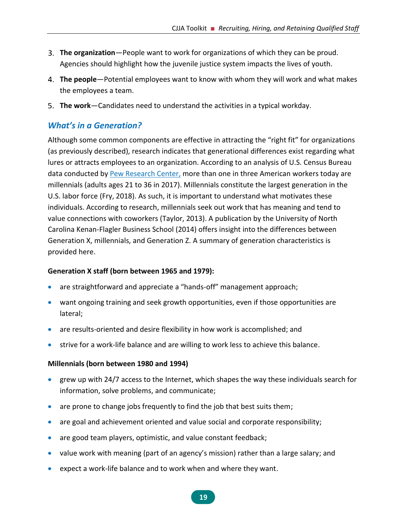- **The organization**—People want to work for organizations of which they can be proud. Agencies should highlight how the juvenile justice system impacts the lives of youth.
- **The people**—Potential employees want to know with whom they will work and what makes the employees a team.
- **The work**—Candidates need to understand the activities in a typical workday.

#### *What's in a Generation?*

Although some common components are effective in attracting the "right fit" for organizations (as previously described), research indicates that generational differences exist regarding what lures or attracts employees to an organization. According to an analysis of U.S. Census Bureau data conducted by **Pew Research Center**, more than one in three American workers today are millennials (adults ages 21 to 36 in 2017). Millennials constitute the largest generation in the U.S. labor force (Fry, 2018). As such, it is important to understand what motivates these individuals. According to research, millennials seek out work that has meaning and tend to value connections with coworkers (Taylor, 2013). A publication by the University of North Carolina Kenan-Flagler Business School (2014) offers insight into the differences between Generation X, millennials, and Generation Z. A summary of generation characteristics is provided here.

#### **Generation X staff (born between 1965 and 1979):**

- are straightforward and appreciate a "hands-off" management approach;
- want ongoing training and seek growth opportunities, even if those opportunities are lateral;
- are results-oriented and desire flexibility in how work is accomplished; and
- strive for a work-life balance and are willing to work less to achieve this balance.

#### **Millennials (born between 1980 and 1994)**

- grew up with 24/7 access to the Internet, which shapes the way these individuals search for information, solve problems, and communicate;
- are prone to change jobs frequently to find the job that best suits them;
- are goal and achievement oriented and value social and corporate responsibility;
- are good team players, optimistic, and value constant feedback;
- value work with meaning (part of an agency's mission) rather than a large salary; and
- expect a work-life balance and to work when and where they want.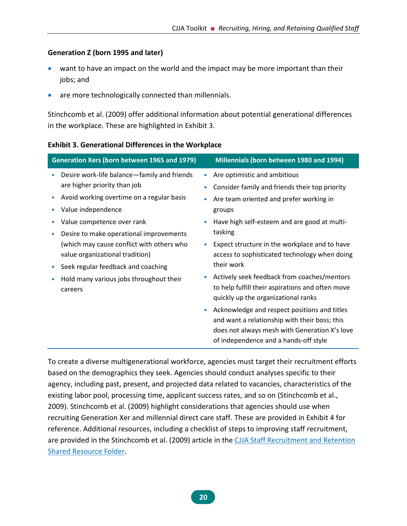#### **Generation Z (born 1995 and later)**

- want to have an impact on the world and the impact may be more important than their jobs; and
- are more technologically connected than millennials.

Stinchcomb et al. (2009) offer additional information about potential generational differences in the workplace. These are highlighted in Exhibit 3.

|   | Generation Xers (born between 1965 and 1979) | Millennials (born between 1980 and 1994)                                                |
|---|----------------------------------------------|-----------------------------------------------------------------------------------------|
| ۰ | Desire work-life balance-family and friends  | Are optimistic and ambitious                                                            |
|   | are higher priority than job                 | Consider family and friends their top priority                                          |
|   | Avoid working overtime on a regular basis    | Are team oriented and prefer working in                                                 |
|   | Value independence                           | groups                                                                                  |
|   | Value competence over rank                   | Have high self-esteem and are good at multi-                                            |
|   | Desire to make operational improvements      | tasking                                                                                 |
|   | (which may cause conflict with others who    | Expect structure in the workplace and to have                                           |
|   | value organizational tradition)              | access to sophisticated technology when doing                                           |
|   | Seek regular feedback and coaching           | their work                                                                              |
|   | Hold many various jobs throughout their      | Actively seek feedback from coaches/mentors                                             |
|   | careers                                      | to help fulfill their aspirations and often move<br>quickly up the organizational ranks |
|   |                                              | Acknowledge and respect positions and titles                                            |
|   |                                              | and want a relationship with their boss; this                                           |
|   |                                              | does not always mesh with Generation X's love                                           |
|   |                                              | of independence and a hands-off style                                                   |

<span id="page-26-0"></span>**Exhibit 3. Generational Differences in the Workplace**

To create a diverse multigenerational workforce, agencies must target their recruitment efforts based on the demographics they seek. Agencies should conduct analyses specific to their agency, including past, present, and projected data related to vacancies, characteristics of the existing labor pool, processing time, applicant success rates, and so on (Stinchcomb et al., 2009). Stinchcomb et al. (2009) highlight considerations that agencies should use when recruiting Generation Xer and millennial direct care staff. These are provided in Exhibit 4 for reference. Additional resources, including a checklist of steps to improving staff recruitment, are provided in the Stinchcomb et al. (2009) article in the [CJJA Staff Recruitment and Retention](https://1drv.ms/f/s!Ais_7JaHgPh3gotIWHCtPx1afGqKHg)  [Shared Resource Folder.](https://1drv.ms/f/s!Ais_7JaHgPh3gotIWHCtPx1afGqKHg)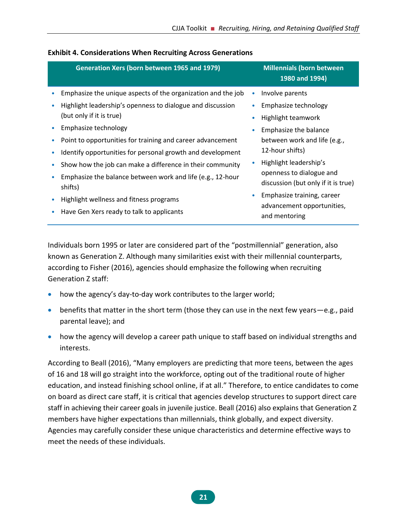| Generation Xers (born between 1965 and 1979)                          |           | <b>Millennials (born between</b><br>1980 and 1994)              |
|-----------------------------------------------------------------------|-----------|-----------------------------------------------------------------|
| Emphasize the unique aspects of the organization and the job          | $\bullet$ | Involve parents                                                 |
| Highlight leadership's openness to dialogue and discussion            | $\bullet$ | Emphasize technology                                            |
| (but only if it is true)                                              | $\bullet$ | Highlight teamwork                                              |
| Emphasize technology                                                  | $\bullet$ | Emphasize the balance                                           |
| Point to opportunities for training and career advancement            |           | between work and life (e.g.,                                    |
| Identify opportunities for personal growth and development            |           | 12-hour shifts)                                                 |
| Show how the job can make a difference in their community             |           | Highlight leadership's                                          |
| Emphasize the balance between work and life (e.g., 12-hour<br>shifts) |           | openness to dialogue and<br>discussion (but only if it is true) |
| Highlight wellness and fitness programs                               | $\bullet$ | Emphasize training, career                                      |
| Have Gen Xers ready to talk to applicants                             |           | advancement opportunities,<br>and mentoring                     |

#### <span id="page-27-0"></span>**Exhibit 4. Considerations When Recruiting Across Generations**

Individuals born 1995 or later are considered part of the "postmillennial" generation, also known as Generation Z. Although many similarities exist with their millennial counterparts, according to Fisher (2016), agencies should emphasize the following when recruiting Generation Z staff:

- how the agency's day-to-day work contributes to the larger world;
- benefits that matter in the short term (those they can use in the next few years—e.g., paid parental leave); and
- how the agency will develop a career path unique to staff based on individual strengths and interests.

According to Beall (2016), "Many employers are predicting that more teens, between the ages of 16 and 18 will go straight into the workforce, opting out of the traditional route of higher education, and instead finishing school online, if at all." Therefore, to entice candidates to come on board as direct care staff, it is critical that agencies develop structures to support direct care staff in achieving their career goals in juvenile justice. Beall (2016) also explains that Generation Z members have higher expectations than millennials, think globally, and expect diversity. Agencies may carefully consider these unique characteristics and determine effective ways to meet the needs of these individuals.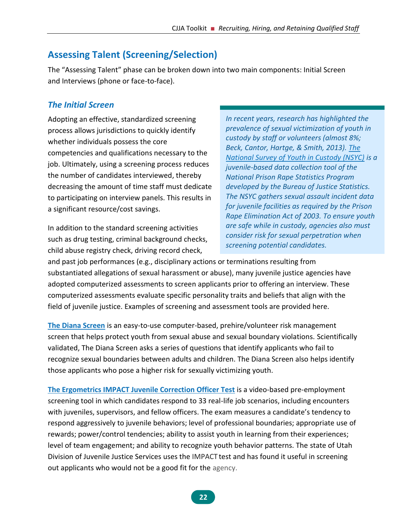# <span id="page-28-0"></span>**Assessing Talent (Screening/Selection)**

The "Assessing Talent" phase can be broken down into two main components: Initial Screen and Interviews (phone or face-to-face).

### *The Initial Screen*

Adopting an effective, standardized screening process allows jurisdictions to quickly identify whether individuals possess the core competencies and qualifications necessary to the job. Ultimately, using a screening process reduces the number of candidates interviewed, thereby decreasing the amount of time staff must dedicate to participating on interview panels. This results in a significant resource/cost savings.

In addition to the standard screening activities such as drug testing, criminal background checks, child abuse registry check, driving record check,

*In recent years, research has highlighted the prevalence of sexual victimization of youth in custody by staff or volunteers (almost 8%; Beck, Cantor, Hartge, & Smith, 2013). [The](http://www.bjs.gov/index.cfm?iid=4656&ty=pbdetail)  [National Survey of Youth in Custody \(NSYC\)](http://www.bjs.gov/index.cfm?iid=4656&ty=pbdetail) is a juvenile-based data collection tool of the National Prison Rape Statistics Program developed by the Bureau of Justice Statistics. The NSYC gathers sexual assault incident data for juvenile facilities as required by the Prison Rape Elimination Act of 2003. To ensure youth are safe while in custody, agencies also must consider risk for sexual perpetration when screening potential candidates.*

and past job performances (e.g., disciplinary actions or terminations resulting from substantiated allegations of sexual harassment or abuse), many juvenile justice agencies have adopted computerized assessments to screen applicants prior to offering an interview. These computerized assessments evaluate specific personality traits and beliefs that align with the field of juvenile justice. Examples of screening and assessment tools are provided here.

**[The Diana Screen](http://abelscreening.com/)** is an easy-to-use computer-based, prehire/volunteer risk management screen that helps protect youth from sexual abuse and sexual boundary violations. Scientifically validated, The Diana Screen asks a series of questions that identify applicants who fail to recognize sexual boundaries between adults and children. The Diana Screen also helps identify those applicants who pose a higher risk for sexually victimizing youth.

**[The Ergometrics IMPACT Juvenile Correction Officer Test](https://ergometrics.org/impact.cfm)** is a video-based pre-employment screening tool in which candidates respond to 33 real-life job scenarios, including encounters with juveniles, supervisors, and fellow officers. The exam measures a candidate's tendency to respond aggressively to juvenile behaviors; level of professional boundaries; appropriate use of rewards; power/control tendencies; ability to assist youth in learning from their experiences; level of team engagement; and ability to recognize youth behavior patterns. The state of Utah Division of Juvenile Justice Services uses the IMPACT test and has found it useful in screening out applicants who would not be a good fit for the agency.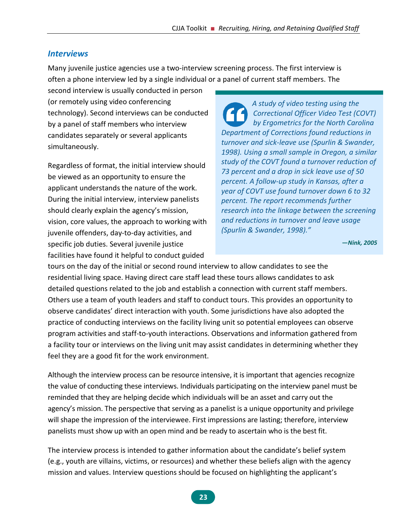#### *Interviews*

Many juvenile justice agencies use a two-interview screening process. The first interview is often a phone interview led by a single individual or a panel of current staff members. The

second interview is usually conducted in person (or remotely using video conferencing technology). Second interviews can be conducted by a panel of staff members who interview candidates separately or several applicants simultaneously.

Regardless of format, the initial interview should be viewed as an opportunity to ensure the applicant understands the nature of the work. During the initial interview, interview panelists should clearly explain the agency's mission, vision, core values, the approach to working with juvenile offenders, day-to-day activities, and specific job duties. Several juvenile justice facilities have found it helpful to conduct guided

*A study of video testing using the Correctional Officer Video Test (COVT) by Ergometrics for the North Carolina Department of Corrections found reductions in turnover and sick-leave use (Spurlin & Swander, 1998). Using a small sample in Oregon, a similar study of the COVT found a turnover reduction of 73 percent and a drop in sick leave use of 50 percent. A follow-up study in Kansas, after a year of COVT use found turnover down 6 to 32 percent. The report recommends further research into the linkage between the screening and reductions in turnover and leave usage (Spurlin & Swander, 1998)."*

**—***Nink, 2005*

tours on the day of the initial or second round interview to allow candidates to see the residential living space. Having direct care staff lead these tours allows candidates to ask detailed questions related to the job and establish a connection with current staff members. Others use a team of youth leaders and staff to conduct tours. This provides an opportunity to observe candidates' direct interaction with youth. Some jurisdictions have also adopted the practice of conducting interviews on the facility living unit so potential employees can observe program activities and staff-to-youth interactions. Observations and information gathered from a facility tour or interviews on the living unit may assist candidates in determining whether they feel they are a good fit for the work environment.

Although the interview process can be resource intensive, it is important that agencies recognize the value of conducting these interviews. Individuals participating on the interview panel must be reminded that they are helping decide which individuals will be an asset and carry out the agency's mission. The perspective that serving as a panelist is a unique opportunity and privilege will shape the impression of the interviewee. First impressions are lasting; therefore, interview panelists must show up with an open mind and be ready to ascertain who is the best fit.

The interview process is intended to gather information about the candidate's belief system (e.g., youth are villains, victims, or resources) and whether these beliefs align with the agency mission and values. Interview questions should be focused on highlighting the applicant's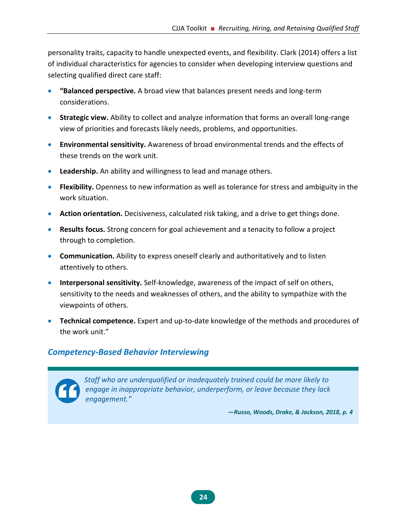personality traits, capacity to handle unexpected events, and flexibility. Clark (2014) offers a list of individual characteristics for agencies to consider when developing interview questions and selecting qualified direct care staff:

- **"Balanced perspective.** A broad view that balances present needs and long-term considerations.
- **Strategic view.** Ability to collect and analyze information that forms an overall long-range view of priorities and forecasts likely needs, problems, and opportunities.
- **Environmental sensitivity.** Awareness of broad environmental trends and the effects of these trends on the work unit.
- **Leadership.** An ability and willingness to lead and manage others.
- **Flexibility.** Openness to new information as well as tolerance for stress and ambiguity in the work situation.
- **Action orientation.** Decisiveness, calculated risk taking, and a drive to get things done.
- **Results focus.** Strong concern for goal achievement and a tenacity to follow a project through to completion.
- **Communication.** Ability to express oneself clearly and authoritatively and to listen attentively to others.
- **Interpersonal sensitivity.** Self-knowledge, awareness of the impact of self on others, sensitivity to the needs and weaknesses of others, and the ability to sympathize with the viewpoints of others.
- **Technical competence.** Expert and up-to-date knowledge of the methods and procedures of the work unit."

#### *Competency-Based Behavior Interviewing*



*Staff who are underqualified or inadequately trained could be more likely to engage in inappropriate behavior, underperform, or leave because they lack engagement."*

**—***Russo, Woods, Drake, & Jackson, 2018, p. 4*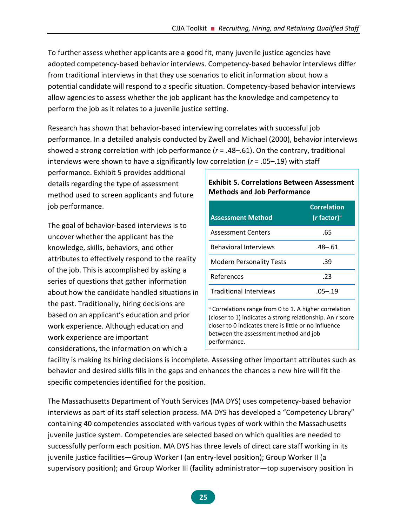To further assess whether applicants are a good fit, many juvenile justice agencies have adopted competency-based behavior interviews. Competency-based behavior interviews differ from traditional interviews in that they use scenarios to elicit information about how a potential candidate will respond to a specific situation. Competency-based behavior interviews allow agencies to assess whether the job applicant has the knowledge and competency to perform the job as it relates to a juvenile justice setting.

Research has shown that behavior-based interviewing correlates with successful job performance. In a detailed analysis conducted by Zwell and Michael (2000), behavior interviews showed a strong correlation with job performance (*r* = .48–.61). On the contrary, traditional interviews were shown to have a significantly low correlation (*r* = .05–.19) with staff

performance. Exhibit 5 provides additional details regarding the type of assessment method used to screen applicants and future job performance.

The goal of behavior-based interviews is to uncover whether the applicant has the knowledge, skills, behaviors, and other attributes to effectively respond to the reality of the job. This is accomplished by asking a series of questions that gather information about how the candidate handled situations in the past. Traditionally, hiring decisions are based on an applicant's education and prior work experience. Although education and work experience are important considerations, the information on which a

#### <span id="page-31-0"></span>**Exhibit 5. Correlations Between Assessment Methods and Job Performance**

| <b>Assessment Method</b>        | <b>Correlation</b><br>$(r$ factor) <sup>a</sup> |
|---------------------------------|-------------------------------------------------|
| <b>Assessment Centers</b>       | .65                                             |
| <b>Behavioral Interviews</b>    | $.48 - .61$                                     |
| <b>Modern Personality Tests</b> | .39                                             |
| References                      | -23                                             |
| <b>Traditional Interviews</b>   | .05–.19                                         |
|                                 |                                                 |

a Correlations range from 0 to 1. A higher correlation (closer to 1) indicates a strong relationship. An *r* score closer to 0 indicates there is little or no influence between the assessment method and job performance.

facility is making its hiring decisions is incomplete. Assessing other important attributes such as behavior and desired skills fills in the gaps and enhances the chances a new hire will fit the specific competencies identified for the position.

The Massachusetts Department of Youth Services (MA DYS) uses competency-based behavior interviews as part of its staff selection process. MA DYS has developed a "Competency Library" containing 40 competencies associated with various types of work within the Massachusetts juvenile justice system. Competencies are selected based on which qualities are needed to successfully perform each position. MA DYS has three levels of direct care staff working in its juvenile justice facilities—Group Worker I (an entry-level position); Group Worker II (a supervisory position); and Group Worker III (facility administrator—top supervisory position in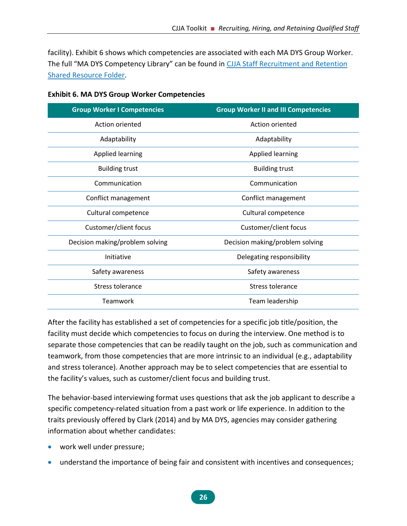facility). Exhibit 6 shows which competencies are associated with each MA DYS Group Worker. The full "MA DYS Competency Library" can be found in CJJA Staff Recruitment and Retention [Shared Resource Folder.](https://1drv.ms/f/s!Ais_7JaHgPh3gotIWHCtPx1afGqKHg)

| <b>Group Worker I Competencies</b> | <b>Group Worker II and III Competencies</b> |
|------------------------------------|---------------------------------------------|
| Action oriented                    | Action oriented                             |
| Adaptability                       | Adaptability                                |
| <b>Applied learning</b>            | <b>Applied learning</b>                     |
| <b>Building trust</b>              | <b>Building trust</b>                       |
| Communication                      | Communication                               |
| Conflict management                | Conflict management                         |
| Cultural competence                | Cultural competence                         |
| Customer/client focus              | Customer/client focus                       |
| Decision making/problem solving    | Decision making/problem solving             |
| Initiative                         | Delegating responsibility                   |
| Safety awareness                   | Safety awareness                            |
| Stress tolerance                   | Stress tolerance                            |
| Teamwork                           | Team leadership                             |

<span id="page-32-0"></span>**Exhibit 6. MA DYS Group Worker Competencies**

After the facility has established a set of competencies for a specific job title/position, the facility must decide which competencies to focus on during the interview. One method is to separate those competencies that can be readily taught on the job, such as communication and teamwork, from those competencies that are more intrinsic to an individual (e.g., adaptability and stress tolerance). Another approach may be to select competencies that are essential to the facility's values, such as customer/client focus and building trust.

The behavior-based interviewing format uses questions that ask the job applicant to describe a specific competency-related situation from a past work or life experience. In addition to the traits previously offered by Clark (2014) and by MA DYS, agencies may consider gathering information about whether candidates:

- work well under pressure;
- understand the importance of being fair and consistent with incentives and consequences;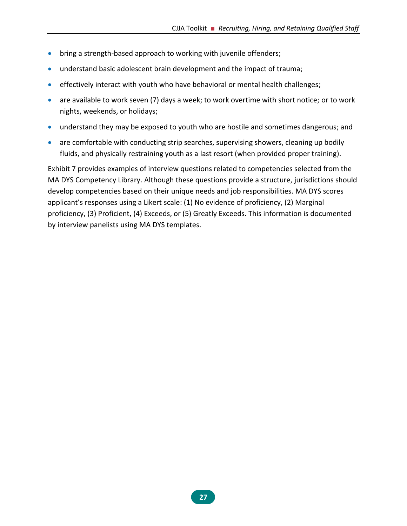- bring a strength-based approach to working with juvenile offenders;
- understand basic adolescent brain development and the impact of trauma;
- effectively interact with youth who have behavioral or mental health challenges;
- are available to work seven (7) days a week; to work overtime with short notice; or to work nights, weekends, or holidays;
- understand they may be exposed to youth who are hostile and sometimes dangerous; and
- are comfortable with conducting strip searches, supervising showers, cleaning up bodily fluids, and physically restraining youth as a last resort (when provided proper training).

<span id="page-33-0"></span>Exhibit 7 provides examples of interview questions related to competencies selected from the MA DYS Competency Library. Although these questions provide a structure, jurisdictions should develop competencies based on their unique needs and job responsibilities. MA DYS scores applicant's responses using a Likert scale: (1) No evidence of proficiency, (2) Marginal proficiency, (3) Proficient, (4) Exceeds, or (5) Greatly Exceeds. This information is documented by interview panelists using MA DYS templates.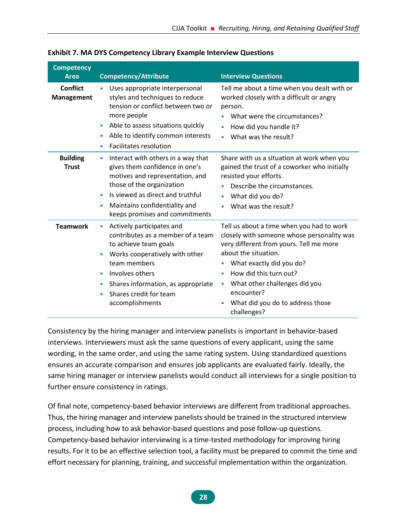| <b>Competency</b><br><b>Area</b>     | <b>Competency/Attribute</b>                                                                                                                                                                                                                                               | <b>Interview Questions</b>                                                                                                                                                                                                                                                                                                      |
|--------------------------------------|---------------------------------------------------------------------------------------------------------------------------------------------------------------------------------------------------------------------------------------------------------------------------|---------------------------------------------------------------------------------------------------------------------------------------------------------------------------------------------------------------------------------------------------------------------------------------------------------------------------------|
| <b>Conflict</b><br><b>Management</b> | Uses appropriate interpersonal<br>styles and techniques to reduce<br>tension or conflict between two or<br>more people<br>Able to assess situations quickly<br>Able to identify common interests<br><b>Facilitates resolution</b><br>۰                                    | Tell me about a time when you dealt with or<br>worked closely with a difficult or angry<br>person.<br>What were the circumstances?<br>How did you handle it?<br>$\bullet$<br>What was the result?<br>$\bullet$                                                                                                                  |
| <b>Building</b><br><b>Trust</b>      | Interact with others in a way that<br>۰<br>gives them confidence in one's<br>motives and representation, and<br>those of the organization<br>Is viewed as direct and truthful<br>Maintains confidentiality and<br>۰<br>keeps promises and commitments                     | Share with us a situation at work when you<br>gained the trust of a coworker who initially<br>resisted your efforts.<br>Describe the circumstances.<br>What did you do?<br>What was the result?                                                                                                                                 |
| <b>Teamwork</b>                      | Actively participates and<br>$\bullet$<br>contributes as a member of a team<br>to achieve team goals<br>Works cooperatively with other<br>team members<br>Involves others<br>Shares information, as appropriate<br>$\bullet$<br>Shares credit for team<br>accomplishments | Tell us about a time when you had to work<br>closely with someone whose personality was<br>very different from yours. Tell me more<br>about the situation.<br>What exactly did you do?<br>How did this turn out?<br>What other challenges did you<br>$\bullet$<br>encounter?<br>What did you do to address those<br>challenges? |

#### **Exhibit 7. MA DYS Competency Library Example Interview Questions**

Consistency by the hiring manager and interview panelists is important in behavior-based interviews. Interviewers must ask the same questions of every applicant, using the same wording, in the same order, and using the same rating system. Using standardized questions ensures an accurate comparison and ensures job applicants are evaluated fairly. Ideally, the same hiring manager or interview panelists would conduct all interviews for a single position to further ensure consistency in ratings.

Of final note, competency-based behavior interviews are different from traditional approaches. Thus, the hiring manager and interview panelists should be trained in the structured interview process, including how to ask behavior-based questions and pose follow-up questions. Competency-based behavior interviewing is a time-tested methodology for improving hiring results. For it to be an effective selection tool, a facility must be prepared to commit the time and effort necessary for planning, training, and successful implementation within the organization.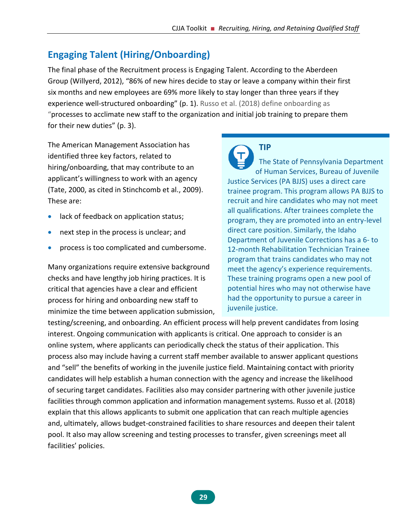# <span id="page-35-0"></span>**Engaging Talent (Hiring/Onboarding)**

The final phase of the Recruitment process is Engaging Talent. According to the Aberdeen Group (Willyerd, 2012), "86% of new hires decide to stay or leave a company within their first six months and new employees are 69% more likely to stay longer than three years if they experience well-structured onboarding" (p. 1). Russo et al. (2018) define onboarding as "processes to acclimate new staff to the organization and initial job training to prepare them for their new duties" (p. 3).

The American Management Association has identified three key factors, related to hiring/onboarding, that may contribute to an applicant's willingness to work with an agency (Tate, 2000, as cited in Stinchcomb et al., 2009). These are:

- lack of feedback on application status;
- next step in the process is unclear; and
- process is too complicated and cumbersome.

Many organizations require extensive background checks and have lengthy job hiring practices. It is critical that agencies have a clear and efficient process for hiring and onboarding new staff to minimize the time between application submission,

**TIP** The State of Pennsylvania Department of Human Services, Bureau of Juvenile Justice Services (PA BJJS) uses a direct care trainee program. This program allows PA BJJS to recruit and hire candidates who may not meet all qualifications. After trainees complete the program, they are promoted into an entry-level direct care position. Similarly, the Idaho Department of Juvenile Corrections has a 6- to 12-month Rehabilitation Technician Trainee program that trains candidates who may not meet the agency's experience requirements. These training programs open a new pool of potential hires who may not otherwise have had the opportunity to pursue a career in juvenile justice.

testing/screening, and onboarding. An efficient process will help prevent candidates from losing interest. Ongoing communication with applicants is critical. One approach to consider is an online system, where applicants can periodically check the status of their application. This process also may include having a current staff member available to answer applicant questions and "sell" the benefits of working in the juvenile justice field. Maintaining contact with priority candidates will help establish a human connection with the agency and increase the likelihood of securing target candidates. Facilities also may consider partnering with other juvenile justice facilities through common application and information management systems. Russo et al. (2018) explain that this allows applicants to submit one application that can reach multiple agencies and, ultimately, allows budget-constrained facilities to share resources and deepen their talent pool. It also may allow screening and testing processes to transfer, given screenings meet all facilities' policies.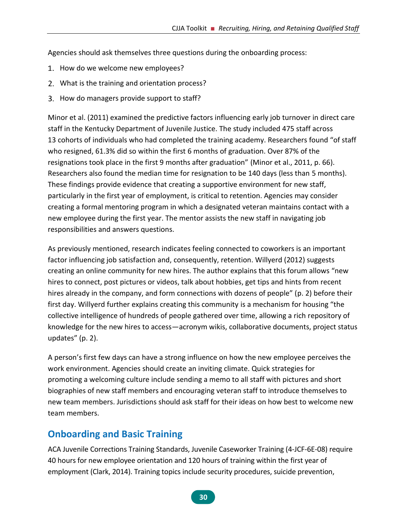Agencies should ask themselves three questions during the onboarding process:

- 1. How do we welcome new employees?
- What is the training and orientation process?
- 3. How do managers provide support to staff?

Minor et al. (2011) examined the predictive factors influencing early job turnover in direct care staff in the Kentucky Department of Juvenile Justice. The study included 475 staff across 13 cohorts of individuals who had completed the training academy. Researchers found "of staff who resigned, 61.3% did so within the first 6 months of graduation. Over 87% of the resignations took place in the first 9 months after graduation" (Minor et al., 2011, p. 66). Researchers also found the median time for resignation to be 140 days (less than 5 months). These findings provide evidence that creating a supportive environment for new staff, particularly in the first year of employment, is critical to retention. Agencies may consider creating a formal mentoring program in which a designated veteran maintains contact with a new employee during the first year. The mentor assists the new staff in navigating job responsibilities and answers questions.

As previously mentioned, research indicates feeling connected to coworkers is an important factor influencing job satisfaction and, consequently, retention. Willyerd (2012) suggests creating an online community for new hires. The author explains that this forum allows "new hires to connect, post pictures or videos, talk about hobbies, get tips and hints from recent hires already in the company, and form connections with dozens of people" (p. 2) before their first day. Willyerd further explains creating this community is a mechanism for housing "the collective intelligence of hundreds of people gathered over time, allowing a rich repository of knowledge for the new hires to access—acronym wikis, collaborative documents, project status updates" (p. 2).

A person's first few days can have a strong influence on how the new employee perceives the work environment. Agencies should create an inviting climate. Quick strategies for promoting a welcoming culture include sending a memo to all staff with pictures and short biographies of new staff members and encouraging veteran staff to introduce themselves to new team members. Jurisdictions should ask staff for their ideas on how best to welcome new team members.

# **Onboarding and Basic Training**

ACA Juvenile Corrections Training Standards, Juvenile Caseworker Training (4-JCF-6E-08) require 40 hours for new employee orientation and 120 hours of training within the first year of employment (Clark, 2014). Training topics include security procedures, suicide prevention,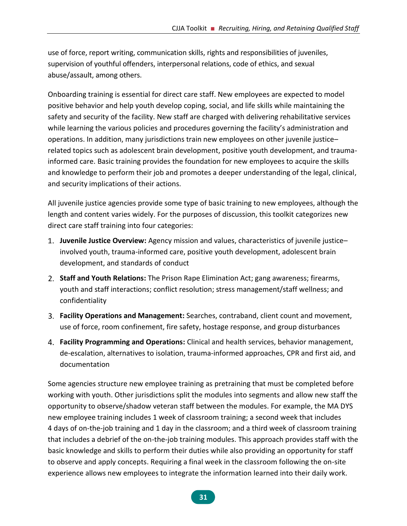use of force, report writing, communication skills, rights and responsibilities of juveniles, supervision of youthful offenders, interpersonal relations, code of ethics, and sexual abuse/assault, among others.

Onboarding training is essential for direct care staff. New employees are expected to model positive behavior and help youth develop coping, social, and life skills while maintaining the safety and security of the facility. New staff are charged with delivering rehabilitative services while learning the various policies and procedures governing the facility's administration and operations. In addition, many jurisdictions train new employees on other juvenile justice– related topics such as adolescent brain development, positive youth development, and traumainformed care. Basic training provides the foundation for new employees to acquire the skills and knowledge to perform their job and promotes a deeper understanding of the legal, clinical, and security implications of their actions.

All juvenile justice agencies provide some type of basic training to new employees, although the length and content varies widely. For the purposes of discussion, this toolkit categorizes new direct care staff training into four categories:

- **Juvenile Justice Overview:** Agency mission and values, characteristics of juvenile justice– involved youth, trauma-informed care, positive youth development, adolescent brain development, and standards of conduct
- **Staff and Youth Relations:** The Prison Rape Elimination Act; gang awareness; firearms, youth and staff interactions; conflict resolution; stress management/staff wellness; and confidentiality
- **Facility Operations and Management:** Searches, contraband, client count and movement, use of force, room confinement, fire safety, hostage response, and group disturbances
- **Facility Programming and Operations:** Clinical and health services, behavior management, de-escalation, alternatives to isolation, trauma-informed approaches, CPR and first aid, and documentation

Some agencies structure new employee training as pretraining that must be completed before working with youth. Other jurisdictions split the modules into segments and allow new staff the opportunity to observe/shadow veteran staff between the modules. For example, the MA DYS new employee training includes 1 week of classroom training; a second week that includes 4 days of on-the-job training and 1 day in the classroom; and a third week of classroom training that includes a debrief of the on-the-job training modules. This approach provides staff with the basic knowledge and skills to perform their duties while also providing an opportunity for staff to observe and apply concepts. Requiring a final week in the classroom following the on-site experience allows new employees to integrate the information learned into their daily work.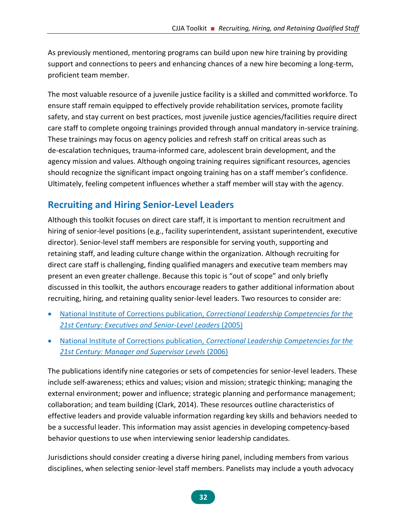As previously mentioned, mentoring programs can build upon new hire training by providing support and connections to peers and enhancing chances of a new hire becoming a long-term, proficient team member.

The most valuable resource of a juvenile justice facility is a skilled and committed workforce. To ensure staff remain equipped to effectively provide rehabilitation services, promote facility safety, and stay current on best practices, most juvenile justice agencies/facilities require direct care staff to complete ongoing trainings provided through annual mandatory in-service training. These trainings may focus on agency policies and refresh staff on critical areas such as de-escalation techniques, trauma-informed care, adolescent brain development, and the agency mission and values. Although ongoing training requires significant resources, agencies should recognize the significant impact ongoing training has on a staff member's confidence. Ultimately, feeling competent influences whether a staff member will stay with the agency.

# **Recruiting and Hiring Senior-Level Leaders**

Although this toolkit focuses on direct care staff, it is important to mention recruitment and hiring of senior-level positions (e.g., facility superintendent, assistant superintendent, executive director). Senior-level staff members are responsible for serving youth, supporting and retaining staff, and leading culture change within the organization. Although recruiting for direct care staff is challenging, finding qualified managers and executive team members may present an even greater challenge. Because this topic is "out of scope" and only briefly discussed in this toolkit, the authors encourage readers to gather additional information about recruiting, hiring, and retaining quality senior-level leaders. Two resources to consider are:

- National Institute of Corrections publication, *[Correctional Leadership Competencies for the](https://nicic.gov/correctional-leadership-competencies-21st-century-executive-and-senior-levels)  21st [Century: Executives and Senior-Level Leaders](https://nicic.gov/correctional-leadership-competencies-21st-century-executive-and-senior-levels)* (2005)
- National Institute of Corrections publication, *[Correctional Leadership Competencies for the](https://info.nicic.gov/nicrp/system/files/020475.pdf)  21st [Century: Manager and Supervisor Levels](https://info.nicic.gov/nicrp/system/files/020475.pdf)* (2006)

The publications identify nine categories or sets of competencies for senior-level leaders. These include self-awareness; ethics and values; vision and mission; strategic thinking; managing the external environment; power and influence; strategic planning and performance management; collaboration; and team building (Clark, 2014). These resources outline characteristics of effective leaders and provide valuable information regarding key skills and behaviors needed to be a successful leader. This information may assist agencies in developing competency-based behavior questions to use when interviewing senior leadership candidates.

Jurisdictions should consider creating a diverse hiring panel, including members from various disciplines, when selecting senior-level staff members. Panelists may include a youth advocacy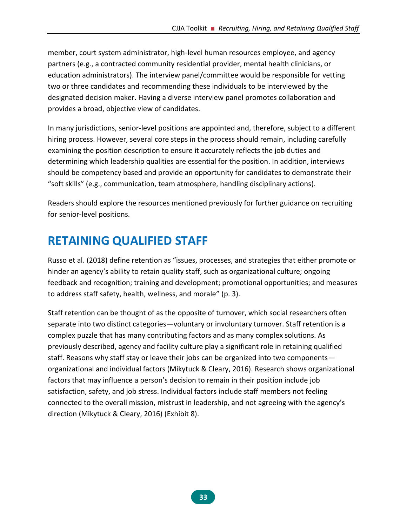member, court system administrator, high-level human resources employee, and agency partners (e.g., a contracted community residential provider, mental health clinicians, or education administrators). The interview panel/committee would be responsible for vetting two or three candidates and recommending these individuals to be interviewed by the designated decision maker. Having a diverse interview panel promotes collaboration and provides a broad, objective view of candidates.

In many jurisdictions, senior-level positions are appointed and, therefore, subject to a different hiring process. However, several core steps in the process should remain, including carefully examining the position description to ensure it accurately reflects the job duties and determining which leadership qualities are essential for the position. In addition, interviews should be competency based and provide an opportunity for candidates to demonstrate their "soft skills" (e.g., communication, team atmosphere, handling disciplinary actions).

Readers should explore the resources mentioned previously for further guidance on recruiting for senior-level positions.

# **RETAINING QUALIFIED STAFF**

Russo et al. (2018) define retention as "issues, processes, and strategies that either promote or hinder an agency's ability to retain quality staff, such as organizational culture; ongoing feedback and recognition; training and development; promotional opportunities; and measures to address staff safety, health, wellness, and morale" (p. 3).

Staff retention can be thought of as the opposite of turnover, which social researchers often separate into two distinct categories—voluntary or involuntary turnover. Staff retention is a complex puzzle that has many contributing factors and as many complex solutions. As previously described, agency and facility culture play a significant role in retaining qualified staff. Reasons why staff stay or leave their jobs can be organized into two components organizational and individual factors (Mikytuck & Cleary, 2016). Research shows organizational factors that may influence a person's decision to remain in their position include job satisfaction, safety, and job stress. Individual factors include staff members not feeling connected to the overall mission, mistrust in leadership, and not agreeing with the agency's direction (Mikytuck & Cleary, 2016) (Exhibit 8).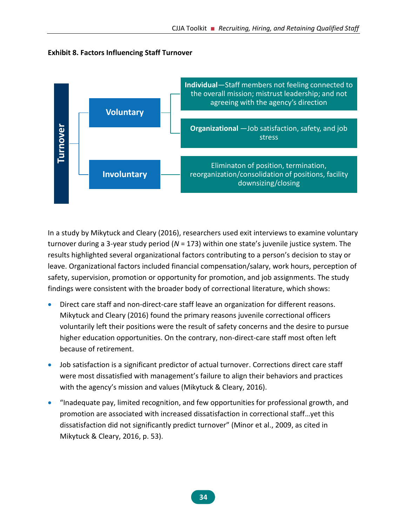

**Exhibit 8. Factors Influencing Staff Turnover**

In a study by Mikytuck and Cleary (2016), researchers used exit interviews to examine voluntary turnover during a 3-year study period (*N* = 173) within one state's juvenile justice system. The results highlighted several organizational factors contributing to a person's decision to stay or leave. Organizational factors included financial compensation/salary, work hours, perception of safety, supervision, promotion or opportunity for promotion, and job assignments. The study findings were consistent with the broader body of correctional literature, which shows:

- Direct care staff and non-direct-care staff leave an organization for different reasons. Mikytuck and Cleary (2016) found the primary reasons juvenile correctional officers voluntarily left their positions were the result of safety concerns and the desire to pursue higher education opportunities. On the contrary, non-direct-care staff most often left because of retirement.
- Job satisfaction is a significant predictor of actual turnover. Corrections direct care staff were most dissatisfied with management's failure to align their behaviors and practices with the agency's mission and values (Mikytuck & Cleary, 2016).
- "Inadequate pay, limited recognition, and few opportunities for professional growth, and promotion are associated with increased dissatisfaction in correctional staff…yet this dissatisfaction did not significantly predict turnover" (Minor et al., 2009, as cited in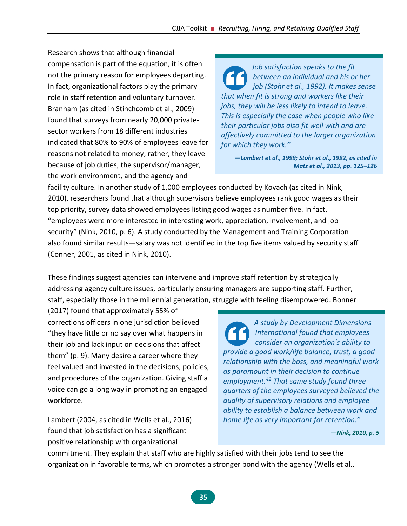Research shows that although financial compensation is part of the equation, it is often not the primary reason for employees departing. In fact, organizational factors play the primary role in staff retention and voluntary turnover. Branham (as cited in Stinchcomb et al., 2009) found that surveys from nearly 20,000 privatesector workers from 18 different industries indicated that 80% to 90% of employees leave for reasons not related to money; rather, they leave because of job duties, the supervisor/manager, the work environment, and the agency and

*Job satisfaction speaks to the fit between an individual and his or her job (Stohr et al., 1992). It makes sense that when fit is strong and workers like their jobs, they will be less likely to intend to leave. This is especially the case when people who like their particular jobs also fit well with and are affectively committed to the larger organization for which they work."*

*—Lambert et al., 1999; Stohr et al., 1992, as cited in Matz et al., 2013, pp. 125–126* 

facility culture. In another study of 1,000 employees conducted by Kovach (as cited in Nink, 2010), researchers found that although supervisors believe employees rank good wages as their top priority, survey data showed employees listing good wages as number five. In fact, "employees were more interested in interesting work, appreciation, involvement, and job security" (Nink, 2010, p. 6). A study conducted by the Management and Training Corporation also found similar results—salary was not identified in the top five items valued by security staff (Conner, 2001, as cited in Nink, 2010).

These findings suggest agencies can intervene and improve staff retention by strategically addressing agency culture issues, particularly ensuring managers are supporting staff. Further, staff, especially those in the millennial generation, struggle with feeling disempowered. Bonner

(2017) found that approximately 55% of corrections officers in one jurisdiction believed "they have little or no say over what happens in their job and lack input on decisions that affect them" (p. 9). Many desire a career where they feel valued and invested in the decisions, policies, and procedures of the organization. Giving staff a voice can go a long way in promoting an engaged workforce.

Lambert (2004, as cited in Wells et al., 2016) found that job satisfaction has a significant positive relationship with organizational

*A study by Development Dimensions International found that employees consider an organization's ability to provide a good work/life balance, trust, a good relationship with the boss, and meaningful work as paramount in their decision to continue employment.<sup>42</sup> That same study found three quarters of the employees surveyed believed the quality of supervisory relations and employee ability to establish a balance between work and home life as very important for retention."*

*—Nink, 2010, p. 5*

commitment. They explain that staff who are highly satisfied with their jobs tend to see the organization in favorable terms, which promotes a stronger bond with the agency (Wells et al.,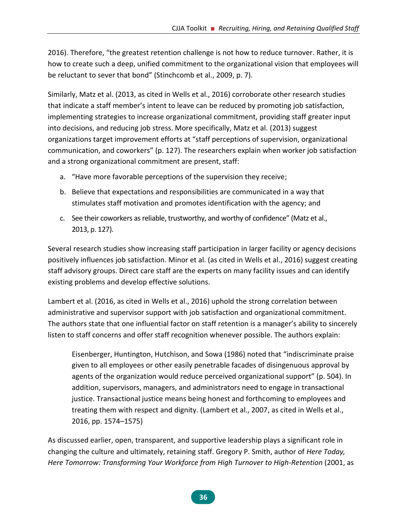2016). Therefore, "the greatest retention challenge is not how to reduce turnover. Rather, it is how to create such a deep, unified commitment to the organizational vision that employees will be reluctant to sever that bond" (Stinchcomb et al., 2009, p. 7).

Similarly, Matz et al. (2013, as cited in Wells et al., 2016) corroborate other research studies that indicate a staff member's intent to leave can be reduced by promoting job satisfaction, implementing strategies to increase organizational commitment, providing staff greater input into decisions, and reducing job stress. More specifically, Matz et al. (2013) suggest organizations target improvement efforts at "staff perceptions of supervision, organizational communication, and coworkers" (p. 127). The researchers explain when worker job satisfaction and a strong organizational commitment are present, staff:

- a. "Have more favorable perceptions of the supervision they receive;
- b. Believe that expectations and responsibilities are communicated in a way that stimulates staff motivation and promotes identification with the agency; and
- c. See their coworkers as reliable, trustworthy, and worthy of confidence" (Matz et al., 2013, p. 127).

Several research studies show increasing staff participation in larger facility or agency decisions positively influences job satisfaction. Minor et al. (as cited in Wells et al., 2016) suggest creating staff advisory groups. Direct care staff are the experts on many facility issues and can identify existing problems and develop effective solutions.

Lambert et al. (2016, as cited in Wells et al., 2016) uphold the strong correlation between administrative and supervisor support with job satisfaction and organizational commitment. The authors state that one influential factor on staff retention is a manager's ability to sincerely listen to staff concerns and offer staff recognition whenever possible. The authors explain:

Eisenberger, Huntington, Hutchison, and Sowa (1986) noted that "indiscriminate praise given to all employees or other easily penetrable facades of disingenuous approval by agents of the organization would reduce perceived organizational support" (p. 504). In addition, supervisors, managers, and administrators need to engage in transactional justice. Transactional justice means being honest and forthcoming to employees and treating them with respect and dignity. (Lambert et al., 2007, as cited in Wells et al., 2016, pp. 1574–1575)

As discussed earlier, open, transparent, and supportive leadership plays a significant role in changing the culture and ultimately, retaining staff. Gregory P. Smith, author of *Here Today, Here Tomorrow: Transforming Your Workforce from High Turnover to High-Retention* (2001, as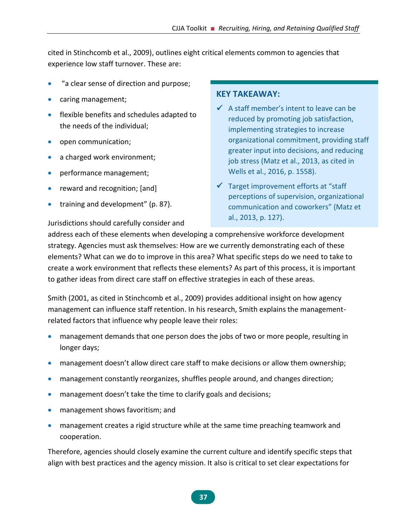cited in Stinchcomb et al., 2009), outlines eight critical elements common to agencies that experience low staff turnover. These are:

- "a clear sense of direction and purpose;
- caring management;
- flexible benefits and schedules adapted to the needs of the individual;
- open communication;
- a charged work environment;
- performance management;
- reward and recognition; [and]
- training and development" (p. 87).

#### **KEY TAKEAWAY:**

- $\checkmark$  A staff member's intent to leave can be reduced by promoting job satisfaction, implementing strategies to increase organizational commitment, providing staff greater input into decisions, and reducing job stress (Matz et al., 2013, as cited in Wells et al., 2016, p. 1558).
- ✓ Target improvement efforts at "staff perceptions of supervision, organizational communication and coworkers" (Matz et al., 2013, p. 127).

Jurisdictions should carefully consider and

address each of these elements when developing a comprehensive workforce development strategy. Agencies must ask themselves: How are we currently demonstrating each of these elements? What can we do to improve in this area? What specific steps do we need to take to create a work environment that reflects these elements? As part of this process, it is important to gather ideas from direct care staff on effective strategies in each of these areas.

Smith (2001, as cited in Stinchcomb et al., 2009) provides additional insight on how agency management can influence staff retention. In his research, Smith explains the managementrelated factors that influence why people leave their roles:

- management demands that one person does the jobs of two or more people, resulting in longer days;
- management doesn't allow direct care staff to make decisions or allow them ownership;
- management constantly reorganizes, shuffles people around, and changes direction;
- management doesn't take the time to clarify goals and decisions;
- management shows favoritism; and
- management creates a rigid structure while at the same time preaching teamwork and cooperation.

Therefore, agencies should closely examine the current culture and identify specific steps that align with best practices and the agency mission. It also is critical to set clear expectations for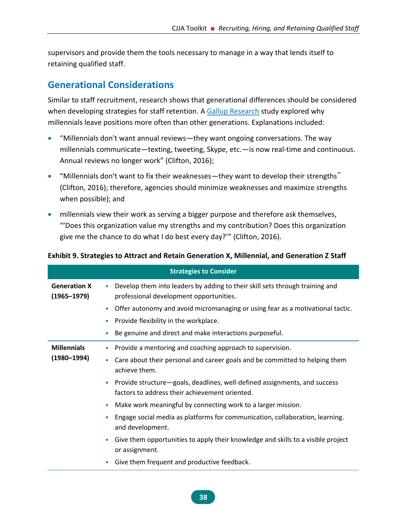supervisors and provide them the tools necessary to manage in a way that lends itself to retaining qualified staff.

# **Generational Considerations**

Similar to staff recruitment, research shows that generational differences should be considered when developing strategies for staff retention. A [Gallup Research](https://www.gallup.com/) study explored why millennials leave positions more often than other generations. Explanations included:

- "Millennials don't want annual reviews—they want ongoing conversations. The way millennials communicate—texting, tweeting, Skype, etc.—is now real-time and continuous. Annual reviews no longer work" (Clifton, 2016);
- "Millennials don't want to fix their weaknesses—they want to develop their strengths" (Clifton, 2016); therefore, agencies should minimize weaknesses and maximize strengths when possible); and
- millennials view their work as serving a bigger purpose and therefore ask themselves, "'Does this organization value my strengths and my contribution? Does this organization give me the chance to do what I do best every day?'" (Clifton, 2016).

|                                        | <b>Strategies to Consider</b>                                                                                                            |
|----------------------------------------|------------------------------------------------------------------------------------------------------------------------------------------|
| <b>Generation X</b><br>$(1965 - 1979)$ | Develop them into leaders by adding to their skill sets through training and<br>$\bullet$<br>professional development opportunities.     |
|                                        | Offer autonomy and avoid micromanaging or using fear as a motivational tactic.<br>۰                                                      |
|                                        | Provide flexibility in the workplace.<br>۰                                                                                               |
|                                        | Be genuine and direct and make interactions purposeful.<br>۰                                                                             |
| <b>Millennials</b><br>$(1980 - 1994)$  | Provide a mentoring and coaching approach to supervision.<br>$\bullet$                                                                   |
|                                        | Care about their personal and career goals and be committed to helping them<br>۰<br>achieve them.                                        |
|                                        | Provide structure-goals, deadlines, well-defined assignments, and success<br>$\bullet$<br>factors to address their achievement oriented. |
|                                        | Make work meaningful by connecting work to a larger mission.<br>$\bullet$                                                                |
|                                        | Engage social media as platforms for communication, collaboration, learning.<br>۰<br>and development.                                    |
|                                        | Give them opportunities to apply their knowledge and skills to a visible project<br>$\bullet$<br>or assignment.                          |
|                                        | Give them frequent and productive feedback.<br>$\bullet$                                                                                 |

#### **Exhibit 9. Strategies to Attract and Retain Generation X, Millennial, and Generation Z Staff**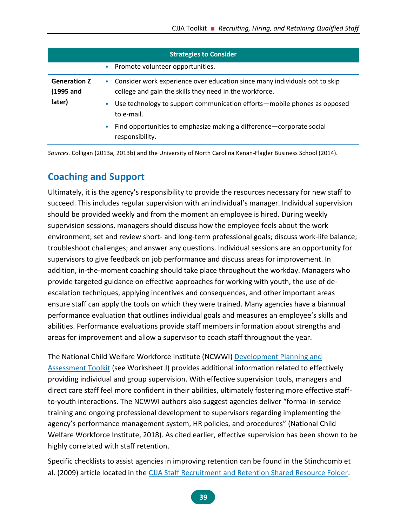| <b>Strategies to Consider</b>              |                                                                                                                                         |  |  |  |
|--------------------------------------------|-----------------------------------------------------------------------------------------------------------------------------------------|--|--|--|
|                                            | • Promote volunteer opportunities.                                                                                                      |  |  |  |
| <b>Generation Z</b><br>(1995 and<br>later) | • Consider work experience over education since many individuals opt to skip<br>college and gain the skills they need in the workforce. |  |  |  |
|                                            | Use technology to support communication efforts—mobile phones as opposed<br>۰<br>to e-mail.                                             |  |  |  |
|                                            | Find opportunities to emphasize making a difference-corporate social<br>$\bullet$<br>responsibility.                                    |  |  |  |

*Sources.* Colligan (2013a, 2013b) and the University of North Carolina Kenan-Flagler Business School (2014).

# **Coaching and Support**

Ultimately, it is the agency's responsibility to provide the resources necessary for new staff to succeed. This includes regular supervision with an individual's manager. Individual supervision should be provided weekly and from the moment an employee is hired. During weekly supervision sessions, managers should discuss how the employee feels about the work environment; set and review short- and long-term professional goals; discuss work-life balance; troubleshoot challenges; and answer any questions. Individual sessions are an opportunity for supervisors to give feedback on job performance and discuss areas for improvement. In addition, in-the-moment coaching should take place throughout the workday. Managers who provide targeted guidance on effective approaches for working with youth, the use of deescalation techniques, applying incentives and consequences, and other important areas ensure staff can apply the tools on which they were trained. Many agencies have a biannual performance evaluation that outlines individual goals and measures an employee's skills and abilities. Performance evaluations provide staff members information about strengths and areas for improvement and allow a supervisor to coach staff throughout the year.

The National Child Welfare Workforce Institute (NCWWI) [Development Planning and](http://wdftoolkit.ncwwi.org/)  [Assessment Toolkit](http://wdftoolkit.ncwwi.org/) (see Worksheet J) provides additional information related to effectively providing individual and group supervision. With effective supervision tools, managers and direct care staff feel more confident in their abilities, ultimately fostering more effective staffto-youth interactions. The NCWWI authors also suggest agencies deliver "formal in-service training and ongoing professional development to supervisors regarding implementing the agency's performance management system, HR policies, and procedures" (National Child Welfare Workforce Institute, 2018). As cited earlier, effective supervision has been shown to be highly correlated with staff retention.

Specific checklists to assist agencies in improving retention can be found in the Stinchcomb et al. (2009) article located in the [CJJA Staff Recruitment and Retention Shared Resource Folder.](https://1drv.ms/f/s!Ais_7JaHgPh3gotIWHCtPx1afGqKHg)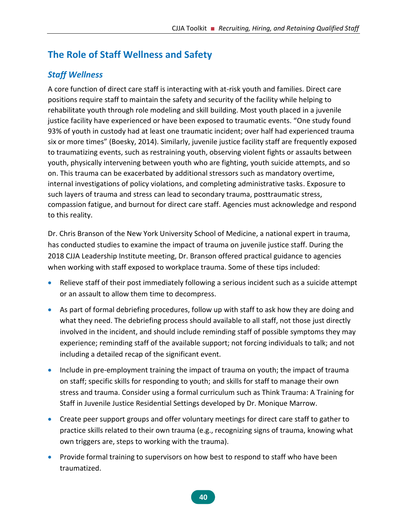# **The Role of Staff Wellness and Safety**

# *Staff Wellness*

A core function of direct care staff is interacting with at-risk youth and families. Direct care positions require staff to maintain the safety and security of the facility while helping to rehabilitate youth through role modeling and skill building. Most youth placed in a juvenile justice facility have experienced or have been exposed to traumatic events. "One study found 93% of youth in custody had at least one traumatic incident; over half had experienced trauma six or more times" (Boesky, 2014). Similarly, juvenile justice facility staff are frequently exposed to traumatizing events, such as restraining youth, observing violent fights or assaults between youth, physically intervening between youth who are fighting, youth suicide attempts, and so on. This trauma can be exacerbated by additional stressors such as mandatory overtime, internal investigations of policy violations, and completing administrative tasks. Exposure to such layers of trauma and stress can lead to secondary trauma, posttraumatic stress, compassion fatigue, and burnout for direct care staff. Agencies must acknowledge and respond to this reality.

Dr. Chris Branson of the New York University School of Medicine, a national expert in trauma, has conducted studies to examine the impact of trauma on juvenile justice staff. During the 2018 CJJA Leadership Institute meeting, Dr. Branson offered practical guidance to agencies when working with staff exposed to workplace trauma. Some of these tips included:

- Relieve staff of their post immediately following a serious incident such as a suicide attempt or an assault to allow them time to decompress.
- As part of formal debriefing procedures, follow up with staff to ask how they are doing and what they need. The debriefing process should available to all staff, not those just directly involved in the incident, and should include reminding staff of possible symptoms they may experience; reminding staff of the available support; not forcing individuals to talk; and not including a detailed recap of the significant event.
- Include in pre-employment training the impact of trauma on youth; the impact of trauma on staff; specific skills for responding to youth; and skills for staff to manage their own stress and trauma. Consider using a formal curriculum such as Think Trauma: A Training for Staff in Juvenile Justice Residential Settings developed by Dr. Monique Marrow.
- Create peer support groups and offer voluntary meetings for direct care staff to gather to practice skills related to their own trauma (e.g., recognizing signs of trauma, knowing what own triggers are, steps to working with the trauma).
- Provide formal training to supervisors on how best to respond to staff who have been traumatized.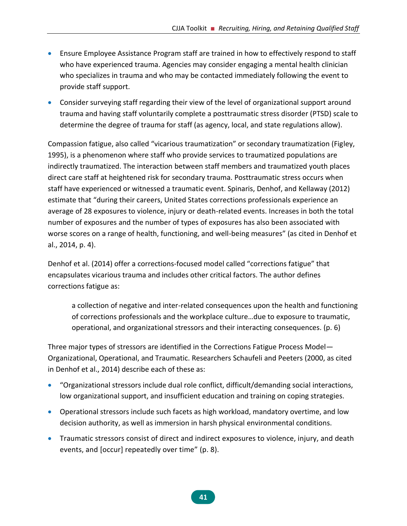- Ensure Employee Assistance Program staff are trained in how to effectively respond to staff who have experienced trauma. Agencies may consider engaging a mental health clinician who specializes in trauma and who may be contacted immediately following the event to provide staff support.
- Consider surveying staff regarding their view of the level of organizational support around trauma and having staff voluntarily complete a posttraumatic stress disorder (PTSD) scale to determine the degree of trauma for staff (as agency, local, and state regulations allow).

Compassion fatigue, also called "vicarious traumatization" or secondary traumatization (Figley, 1995), is a phenomenon where staff who provide services to traumatized populations are indirectly traumatized. The interaction between staff members and traumatized youth places direct care staff at heightened risk for secondary trauma. Posttraumatic stress occurs when staff have experienced or witnessed a traumatic event. Spinaris, Denhof, and Kellaway (2012) estimate that "during their careers, United States corrections professionals experience an average of 28 exposures to violence, injury or death-related events. Increases in both the total number of exposures and the number of types of exposures has also been associated with worse scores on a range of health, functioning, and well-being measures" (as cited in Denhof et al., 2014, p. 4).

Denhof et al. (2014) offer a corrections-focused model called "corrections fatigue" that encapsulates vicarious trauma and includes other critical factors. The author defines corrections fatigue as:

a collection of negative and inter-related consequences upon the health and functioning of corrections professionals and the workplace culture…due to exposure to traumatic, operational, and organizational stressors and their interacting consequences. (p. 6)

Three major types of stressors are identified in the Corrections Fatigue Process Model— Organizational, Operational, and Traumatic. Researchers Schaufeli and Peeters (2000, as cited in Denhof et al., 2014) describe each of these as:

- "Organizational stressors include dual role conflict, difficult/demanding social interactions, low organizational support, and insufficient education and training on coping strategies.
- Operational stressors include such facets as high workload, mandatory overtime, and low decision authority, as well as immersion in harsh physical environmental conditions.
- Traumatic stressors consist of direct and indirect exposures to violence, injury, and death events, and [occur] repeatedly over time" (p. 8).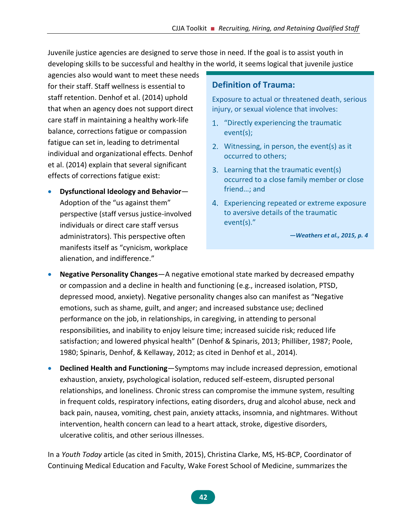Juvenile justice agencies are designed to serve those in need. If the goal is to assist youth in developing skills to be successful and healthy in the world, it seems logical that juvenile justice

agencies also would want to meet these needs for their staff. Staff wellness is essential to staff retention. Denhof et al. (2014) uphold that when an agency does not support direct care staff in maintaining a healthy work-life balance, corrections fatigue or compassion fatigue can set in, leading to detrimental individual and organizational effects. Denhof et al. (2014) explain that several significant effects of corrections fatigue exist:

• **Dysfunctional Ideology and Behavior**— Adoption of the "us against them" perspective (staff versus justice-involved individuals or direct care staff versus administrators). This perspective often manifests itself as "cynicism, workplace alienation, and indifference."

#### **Definition of Trauma:**

Exposure to actual or threatened death, serious injury, or sexual violence that involves:

- 1. "Directly experiencing the traumatic event(s);
- Witnessing, in person, the event(s) as it occurred to others;
- 3. Learning that the traumatic event(s) occurred to a close family member or close friend…; and
- Experiencing repeated or extreme exposure to aversive details of the traumatic event(s)."

*—Weathers et al., 2015, p. 4*

- **Negative Personality Changes**—A negative emotional state marked by decreased empathy or compassion and a decline in health and functioning (e.g., increased isolation, PTSD, depressed mood, anxiety). Negative personality changes also can manifest as "Negative emotions, such as shame, guilt, and anger; and increased substance use; declined performance on the job, in relationships, in caregiving, in attending to personal responsibilities, and inability to enjoy leisure time; increased suicide risk; reduced life satisfaction; and lowered physical health" (Denhof & Spinaris, 2013; Philliber, 1987; Poole, 1980; Spinaris, Denhof, & Kellaway, 2012; as cited in Denhof et al., 2014).
- **Declined Health and Functioning**—Symptoms may include increased depression, emotional exhaustion, anxiety, psychological isolation, reduced self-esteem, disrupted personal relationships, and loneliness. Chronic stress can compromise the immune system, resulting in frequent colds, respiratory infections, eating disorders, drug and alcohol abuse, neck and back pain, nausea, vomiting, chest pain, anxiety attacks, insomnia, and nightmares. Without intervention, health concern can lead to a heart attack, stroke, digestive disorders, ulcerative colitis, and other serious illnesses.

In a *Youth Today* article (as cited in Smith, 2015), Christina Clarke, MS, HS-BCP, Coordinator of Continuing Medical Education and Faculty, Wake Forest School of Medicine, summarizes the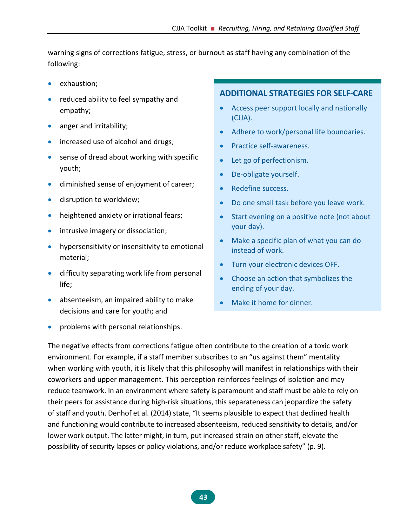warning signs of corrections fatigue, stress, or burnout as staff having any combination of the following:

- exhaustion;
- reduced ability to feel sympathy and empathy;
- anger and irritability;
- increased use of alcohol and drugs;
- sense of dread about working with specific youth;
- diminished sense of enjoyment of career;
- disruption to worldview;
- heightened anxiety or irrational fears;
- intrusive imagery or dissociation;
- hypersensitivity or insensitivity to emotional material;
- difficulty separating work life from personal life;
- absenteeism, an impaired ability to make decisions and care for youth; and
- problems with personal relationships.

#### **ADDITIONAL STRATEGIES FOR SELF-CARE**

- Access peer support locally and nationally (CJJA).
- Adhere to work/personal life boundaries.
- Practice self-awareness.
- Let go of perfectionism.
- De-obligate yourself.
- Redefine success.
- Do one small task before you leave work.
- Start evening on a positive note (not about your day).
- Make a specific plan of what you can do instead of work.
- Turn your electronic devices OFF.
- Choose an action that symbolizes the ending of your day.
- Make it home for dinner.

The negative effects from corrections fatigue often contribute to the creation of a toxic work environment. For example, if a staff member subscribes to an "us against them" mentality when working with youth, it is likely that this philosophy will manifest in relationships with their coworkers and upper management. This perception reinforces feelings of isolation and may reduce teamwork. In an environment where safety is paramount and staff must be able to rely on their peers for assistance during high-risk situations, this separateness can jeopardize the safety of staff and youth. Denhof et al. (2014) state, "It seems plausible to expect that declined health and functioning would contribute to increased absenteeism, reduced sensitivity to details, and/or lower work output. The latter might, in turn, put increased strain on other staff, elevate the possibility of security lapses or policy violations, and/or reduce workplace safety" (p. 9).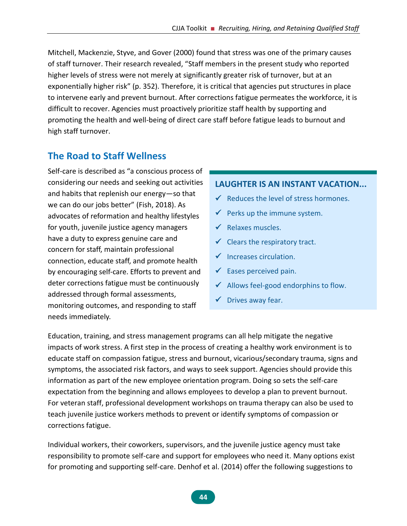Mitchell, Mackenzie, Styve, and Gover (2000) found that stress was one of the primary causes of staff turnover. Their research revealed, "Staff members in the present study who reported higher levels of stress were not merely at significantly greater risk of turnover, but at an exponentially higher risk" (p. 352). Therefore, it is critical that agencies put structures in place to intervene early and prevent burnout. After corrections fatigue permeates the workforce, it is difficult to recover. Agencies must proactively prioritize staff health by supporting and promoting the health and well-being of direct care staff before fatigue leads to burnout and high staff turnover.

# **The Road to Staff Wellness**

Self-care is described as "a conscious process of considering our needs and seeking out activities and habits that replenish our energy—so that we can do our jobs better" (Fish, 2018). As advocates of reformation and healthy lifestyles for youth, juvenile justice agency managers have a duty to express genuine care and concern for staff, maintain professional connection, educate staff, and promote health by encouraging self-care. Efforts to prevent and deter corrections fatigue must be continuously addressed through formal assessments, monitoring outcomes, and responding to staff needs immediately.

### **LAUGHTER IS AN INSTANT VACATION...**

- $\checkmark$  Reduces the level of stress hormones.
- $\checkmark$  Perks up the immune system.
- $\checkmark$  Relaxes muscles.
- $\checkmark$  Clears the respiratory tract.
- ✓ Increases circulation.
- $\checkmark$  Eases perceived pain.
- $\checkmark$  Allows feel-good endorphins to flow.
- $\checkmark$  Drives away fear.

Education, training, and stress management programs can all help mitigate the negative impacts of work stress. A first step in the process of creating a healthy work environment is to educate staff on compassion fatigue, stress and burnout, vicarious/secondary trauma, signs and symptoms, the associated risk factors, and ways to seek support. Agencies should provide this information as part of the new employee orientation program. Doing so sets the self-care expectation from the beginning and allows employees to develop a plan to prevent burnout. For veteran staff, professional development workshops on trauma therapy can also be used to teach juvenile justice workers methods to prevent or identify symptoms of compassion or corrections fatigue.

Individual workers, their coworkers, supervisors, and the juvenile justice agency must take responsibility to promote self-care and support for employees who need it. Many options exist for promoting and supporting self-care. Denhof et al. (2014) offer the following suggestions to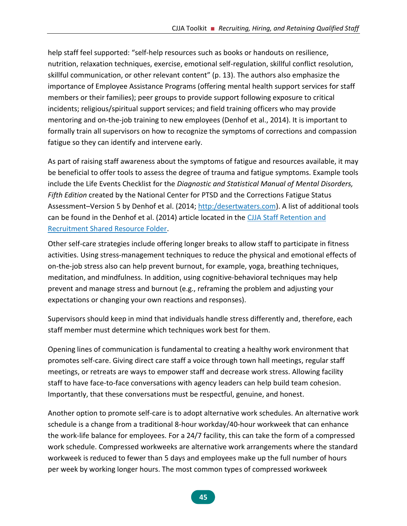help staff feel supported: "self-help resources such as books or handouts on resilience, nutrition, relaxation techniques, exercise, emotional self-regulation, skillful conflict resolution, skillful communication, or other relevant content" (p. 13). The authors also emphasize the importance of Employee Assistance Programs (offering mental health support services for staff members or their families); peer groups to provide support following exposure to critical incidents; religious/spiritual support services; and field training officers who may provide mentoring and on-the-job training to new employees (Denhof et al., 2014). It is important to formally train all supervisors on how to recognize the symptoms of corrections and compassion fatigue so they can identify and intervene early.

As part of raising staff awareness about the symptoms of fatigue and resources available, it may be beneficial to offer tools to assess the degree of trauma and fatigue symptoms. Example tools include the Life Events Checklist for the *Diagnostic and Statistical Manual of Mental Disorders, Fifth Edition* created by the National Center for PTSD and the Corrections Fatigue Status Assessment–Version 5 by Denhof et al. (2014; [http:/desertwaters.com\)](http://desertwaters.com/). A list of additional tools can be found in the Denhof et al. (2014) article located in the [CJJA Staff Retention and](https://1drv.ms/f/s!Ais_7JaHgPh3gotIWHCtPx1afGqKHg)  [Recruitment Shared Resource Folder.](https://1drv.ms/f/s!Ais_7JaHgPh3gotIWHCtPx1afGqKHg)

Other self-care strategies include offering longer breaks to allow staff to participate in fitness activities. Using stress-management techniques to reduce the physical and emotional effects of on-the-job stress also can help prevent burnout, for example, yoga, breathing techniques, meditation, and mindfulness. In addition, using cognitive-behavioral techniques may help prevent and manage stress and burnout (e.g., reframing the problem and adjusting your expectations or changing your own reactions and responses).

Supervisors should keep in mind that individuals handle stress differently and, therefore, each staff member must determine which techniques work best for them.

Opening lines of communication is fundamental to creating a healthy work environment that promotes self-care. Giving direct care staff a voice through town hall meetings, regular staff meetings, or retreats are ways to empower staff and decrease work stress. Allowing facility staff to have face-to-face conversations with agency leaders can help build team cohesion. Importantly, that these conversations must be respectful, genuine, and honest.

Another option to promote self-care is to adopt alternative work schedules. An alternative work schedule is a change from a traditional 8-hour workday/40-hour workweek that can enhance the work-life balance for employees. For a 24/7 facility, this can take the form of a compressed work schedule. Compressed workweeks are alternative work arrangements where the standard workweek is reduced to fewer than 5 days and employees make up the full number of hours per week by working longer hours. The most common types of compressed workweek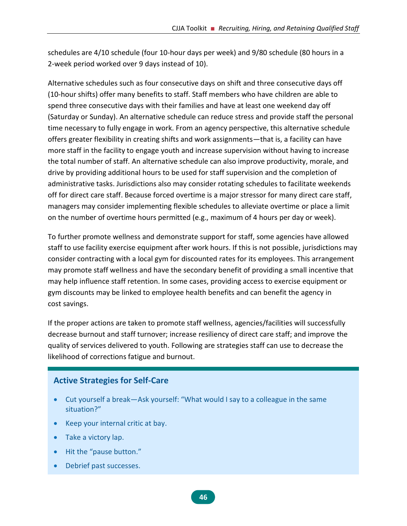schedules are 4/10 schedule (four 10-hour days per week) and 9/80 schedule (80 hours in a 2-week period worked over 9 days instead of 10).

Alternative schedules such as four consecutive days on shift and three consecutive days off (10-hour shifts) offer many benefits to staff. Staff members who have children are able to spend three consecutive days with their families and have at least one weekend day off (Saturday or Sunday). An alternative schedule can reduce stress and provide staff the personal time necessary to fully engage in work. From an agency perspective, this alternative schedule offers greater flexibility in creating shifts and work assignments—that is, a facility can have more staff in the facility to engage youth and increase supervision without having to increase the total number of staff. An alternative schedule can also improve productivity, morale, and drive by providing additional hours to be used for staff supervision and the completion of administrative tasks. Jurisdictions also may consider rotating schedules to facilitate weekends off for direct care staff. Because forced overtime is a major stressor for many direct care staff, managers may consider implementing flexible schedules to alleviate overtime or place a limit on the number of overtime hours permitted (e.g., maximum of 4 hours per day or week).

To further promote wellness and demonstrate support for staff, some agencies have allowed staff to use facility exercise equipment after work hours. If this is not possible, jurisdictions may consider contracting with a local gym for discounted rates for its employees. This arrangement may promote staff wellness and have the secondary benefit of providing a small incentive that may help influence staff retention. In some cases, providing access to exercise equipment or gym discounts may be linked to employee health benefits and can benefit the agency in cost savings.

If the proper actions are taken to promote staff wellness, agencies/facilities will successfully decrease burnout and staff turnover; increase resiliency of direct care staff; and improve the quality of services delivered to youth. Following are strategies staff can use to decrease the likelihood of corrections fatigue and burnout.

### **Active Strategies for Self-Care**

- Cut yourself a break—Ask yourself: "What would I say to a colleague in the same situation?"
- Keep your internal critic at bay.
- Take a victory lap.
- Hit the "pause button."
- Debrief past successes.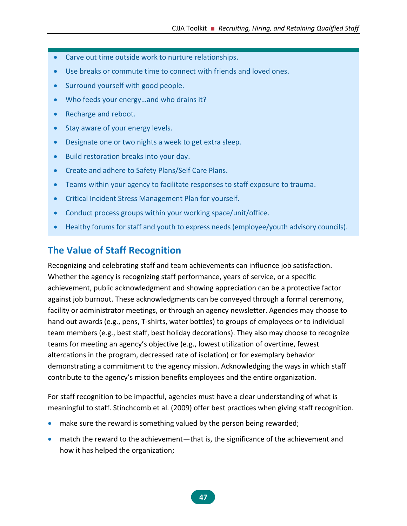- Carve out time outside work to nurture relationships.
- Use breaks or commute time to connect with friends and loved ones.
- Surround yourself with good people.
- Who feeds your energy ... and who drains it?
- Recharge and reboot.
- Stay aware of your energy levels.
- Designate one or two nights a week to get extra sleep.
- Build restoration breaks into your day.
- Create and adhere to Safety Plans/Self Care Plans.
- Teams within your agency to facilitate responses to staff exposure to trauma.
- Critical Incident Stress Management Plan for yourself.
- Conduct process groups within your working space/unit/office.
- Healthy forums for staff and youth to express needs (employee/youth advisory councils).

# **The Value of Staff Recognition**

Recognizing and celebrating staff and team achievements can influence job satisfaction. Whether the agency is recognizing staff performance, years of service, or a specific achievement, public acknowledgment and showing appreciation can be a protective factor against job burnout. These acknowledgments can be conveyed through a formal ceremony, facility or administrator meetings, or through an agency newsletter. Agencies may choose to hand out awards (e.g., pens, T-shirts, water bottles) to groups of employees or to individual team members (e.g., best staff, best holiday decorations). They also may choose to recognize teams for meeting an agency's objective (e.g., lowest utilization of overtime, fewest altercations in the program, decreased rate of isolation) or for exemplary behavior demonstrating a commitment to the agency mission. Acknowledging the ways in which staff contribute to the agency's mission benefits employees and the entire organization.

For staff recognition to be impactful, agencies must have a clear understanding of what is meaningful to staff. Stinchcomb et al. (2009) offer best practices when giving staff recognition.

- make sure the reward is something valued by the person being rewarded;
- match the reward to the achievement—that is, the significance of the achievement and how it has helped the organization;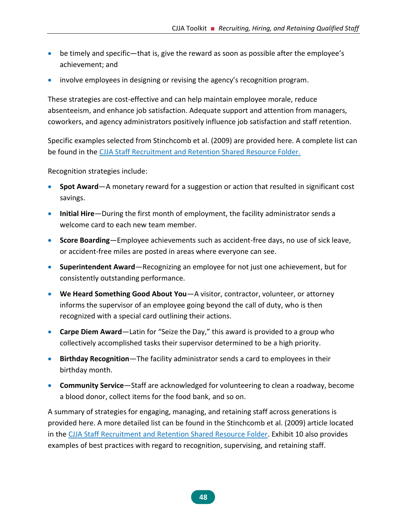- be timely and specific—that is, give the reward as soon as possible after the employee's achievement; and
- involve employees in designing or revising the agency's recognition program.

These strategies are cost-effective and can help maintain employee morale, reduce absenteeism, and enhance job satisfaction. Adequate support and attention from managers, coworkers, and agency administrators positively influence job satisfaction and staff retention.

Specific examples selected from Stinchcomb et al. (2009) are provided here. A complete list can be found in the [CJJA Staff Recruitment and Retention Shared Resource Folder.](https://1drv.ms/f/s!Ais_7JaHgPh3gotIWHCtPx1afGqKHg)

Recognition strategies include:

- **Spot Award**—A monetary reward for a suggestion or action that resulted in significant cost savings.
- **Initial Hire**—During the first month of employment, the facility administrator sends a welcome card to each new team member.
- **Score Boarding**—Employee achievements such as accident-free days, no use of sick leave, or accident-free miles are posted in areas where everyone can see.
- **Superintendent Award**—Recognizing an employee for not just one achievement, but for consistently outstanding performance.
- **We Heard Something Good About You**—A visitor, contractor, volunteer, or attorney informs the supervisor of an employee going beyond the call of duty, who is then recognized with a special card outlining their actions.
- **Carpe Diem Award**—Latin for "Seize the Day," this award is provided to a group who collectively accomplished tasks their supervisor determined to be a high priority.
- **Birthday Recognition**—The facility administrator sends a card to employees in their birthday month.
- **Community Service**—Staff are acknowledged for volunteering to clean a roadway, become a blood donor, collect items for the food bank, and so on.

A summary of strategies for engaging, managing, and retaining staff across generations is provided here. A more detailed list can be found in the Stinchcomb et al. (2009) article located in the [CJJA Staff Recruitment and Retention Shared Resource Folder.](https://1drv.ms/f/s!Ais_7JaHgPh3gotIWHCtPx1afGqKHg) Exhibit 10 also provides examples of best practices with regard to recognition, supervising, and retaining staff.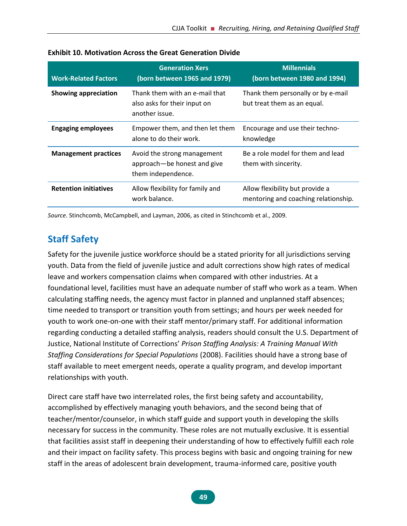| <b>Work-Related Factors</b>  | <b>Generation Xers</b><br>(born between 1965 and 1979)                           | <b>Millennials</b><br>(born between 1980 and 1994)                      |
|------------------------------|----------------------------------------------------------------------------------|-------------------------------------------------------------------------|
| Showing appreciation         | Thank them with an e-mail that<br>also asks for their input on<br>another issue. | Thank them personally or by e-mail<br>but treat them as an equal.       |
| <b>Engaging employees</b>    | Empower them, and then let them<br>alone to do their work.                       | Encourage and use their techno-<br>knowledge                            |
| <b>Management practices</b>  | Avoid the strong management<br>approach-be honest and give<br>them independence. | Be a role model for them and lead<br>them with sincerity.               |
| <b>Retention initiatives</b> | Allow flexibility for family and<br>work balance.                                | Allow flexibility but provide a<br>mentoring and coaching relationship. |

#### **Exhibit 10. Motivation Across the Great Generation Divide**

*Source.* Stinchcomb, McCampbell, and Layman, 2006, as cited in Stinchcomb et al., 2009.

# **Staff Safety**

Safety for the juvenile justice workforce should be a stated priority for all jurisdictions serving youth. Data from the field of juvenile justice and adult corrections show high rates of medical leave and workers compensation claims when compared with other industries. At a foundational level, facilities must have an adequate number of staff who work as a team. When calculating staffing needs, the agency must factor in planned and unplanned staff absences; time needed to transport or transition youth from settings; and hours per week needed for youth to work one-on-one with their staff mentor/primary staff. For additional information regarding conducting a detailed staffing analysis, readers should consult the U.S. Department of Justice, National Institute of Corrections' *Prison Staffing Analysis: A Training Manual With Staffing Considerations for Special Populations* (2008). Facilities should have a strong base of staff available to meet emergent needs, operate a quality program, and develop important relationships with youth.

Direct care staff have two interrelated roles, the first being safety and accountability, accomplished by effectively managing youth behaviors, and the second being that of teacher/mentor/counselor, in which staff guide and support youth in developing the skills necessary for success in the community. These roles are not mutually exclusive. It is essential that facilities assist staff in deepening their understanding of how to effectively fulfill each role and their impact on facility safety. This process begins with basic and ongoing training for new staff in the areas of adolescent brain development, trauma-informed care, positive youth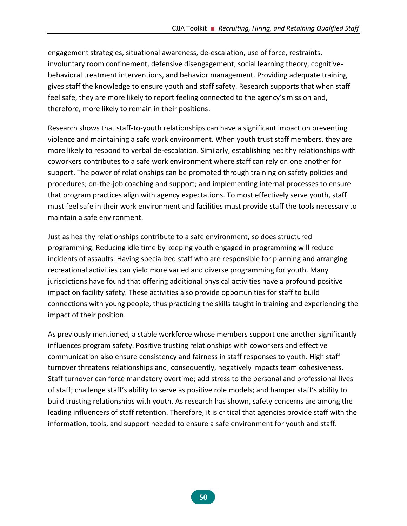engagement strategies, situational awareness, de-escalation, use of force, restraints, involuntary room confinement, defensive disengagement, social learning theory, cognitivebehavioral treatment interventions, and behavior management. Providing adequate training gives staff the knowledge to ensure youth and staff safety. Research supports that when staff feel safe, they are more likely to report feeling connected to the agency's mission and, therefore, more likely to remain in their positions.

Research shows that staff-to-youth relationships can have a significant impact on preventing violence and maintaining a safe work environment. When youth trust staff members, they are more likely to respond to verbal de-escalation. Similarly, establishing healthy relationships with coworkers contributes to a safe work environment where staff can rely on one another for support. The power of relationships can be promoted through training on safety policies and procedures; on-the-job coaching and support; and implementing internal processes to ensure that program practices align with agency expectations. To most effectively serve youth, staff must feel safe in their work environment and facilities must provide staff the tools necessary to maintain a safe environment.

Just as healthy relationships contribute to a safe environment, so does structured programming. Reducing idle time by keeping youth engaged in programming will reduce incidents of assaults. Having specialized staff who are responsible for planning and arranging recreational activities can yield more varied and diverse programming for youth. Many jurisdictions have found that offering additional physical activities have a profound positive impact on facility safety. These activities also provide opportunities for staff to build connections with young people, thus practicing the skills taught in training and experiencing the impact of their position.

As previously mentioned, a stable workforce whose members support one another significantly influences program safety. Positive trusting relationships with coworkers and effective communication also ensure consistency and fairness in staff responses to youth. High staff turnover threatens relationships and, consequently, negatively impacts team cohesiveness. Staff turnover can force mandatory overtime; add stress to the personal and professional lives of staff; challenge staff's ability to serve as positive role models; and hamper staff's ability to build trusting relationships with youth. As research has shown, safety concerns are among the leading influencers of staff retention. Therefore, it is critical that agencies provide staff with the information, tools, and support needed to ensure a safe environment for youth and staff.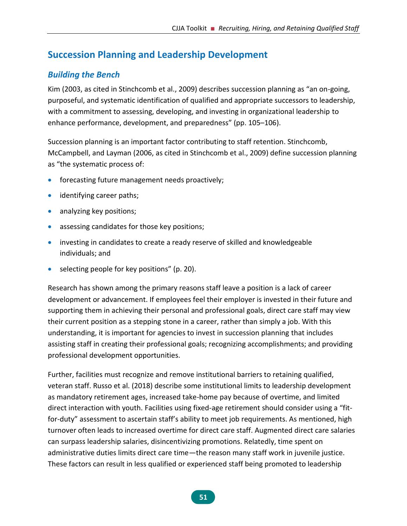# **Succession Planning and Leadership Development**

### *Building the Bench*

Kim (2003, as cited in Stinchcomb et al., 2009) describes succession planning as "an on-going, purposeful, and systematic identification of qualified and appropriate successors to leadership, with a commitment to assessing, developing, and investing in organizational leadership to enhance performance, development, and preparedness" (pp. 105–106).

Succession planning is an important factor contributing to staff retention. Stinchcomb, McCampbell, and Layman (2006, as cited in Stinchcomb et al., 2009) define succession planning as "the systematic process of:

- forecasting future management needs proactively;
- identifying career paths;
- analyzing key positions;
- assessing candidates for those key positions;
- investing in candidates to create a ready reserve of skilled and knowledgeable individuals; and
- selecting people for key positions" (p. 20).

Research has shown among the primary reasons staff leave a position is a lack of career development or advancement. If employees feel their employer is invested in their future and supporting them in achieving their personal and professional goals, direct care staff may view their current position as a stepping stone in a career, rather than simply a job. With this understanding, it is important for agencies to invest in succession planning that includes assisting staff in creating their professional goals; recognizing accomplishments; and providing professional development opportunities.

Further, facilities must recognize and remove institutional barriers to retaining qualified, veteran staff. Russo et al. (2018) describe some institutional limits to leadership development as mandatory retirement ages, increased take-home pay because of overtime, and limited direct interaction with youth. Facilities using fixed-age retirement should consider using a "fitfor-duty" assessment to ascertain staff's ability to meet job requirements. As mentioned, high turnover often leads to increased overtime for direct care staff. Augmented direct care salaries can surpass leadership salaries, disincentivizing promotions. Relatedly, time spent on administrative duties limits direct care time—the reason many staff work in juvenile justice. These factors can result in less qualified or experienced staff being promoted to leadership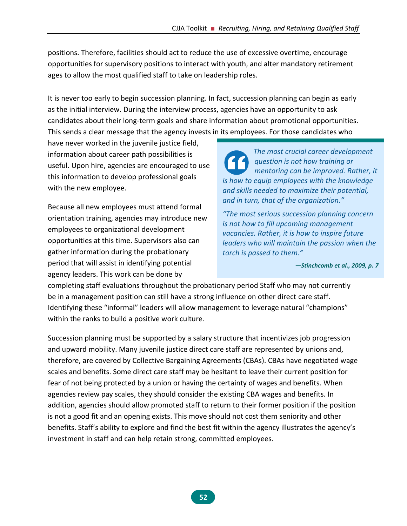positions. Therefore, facilities should act to reduce the use of excessive overtime, encourage opportunities for supervisory positions to interact with youth, and alter mandatory retirement ages to allow the most qualified staff to take on leadership roles.

It is never too early to begin succession planning. In fact, succession planning can begin as early as the initial interview. During the interview process, agencies have an opportunity to ask candidates about their long-term goals and share information about promotional opportunities. This sends a clear message that the agency invests in its employees. For those candidates who

have never worked in the juvenile justice field, information about career path possibilities is useful. Upon hire, agencies are encouraged to use this information to develop professional goals with the new employee.

Because all new employees must attend formal orientation training, agencies may introduce new employees to organizational development opportunities at this time. Supervisors also can gather information during the probationary period that will assist in identifying potential agency leaders. This work can be done by

*The most crucial career development question is not how training or mentoring can be improved. Rather, it is how to equip employees with the knowledge and skills needed to maximize their potential, and in turn, that of the organization."* 

*"The most serious succession planning concern is not how to fill upcoming management vacancies. Rather, it is how to inspire future leaders who will maintain the passion when the torch is passed to them."* 

*—Stinchcomb et al., 2009, p. 7*

completing staff evaluations throughout the probationary period Staff who may not currently be in a management position can still have a strong influence on other direct care staff. Identifying these "informal" leaders will allow management to leverage natural "champions" within the ranks to build a positive work culture.

Succession planning must be supported by a salary structure that incentivizes job progression and upward mobility. Many juvenile justice direct care staff are represented by unions and, therefore, are covered by Collective Bargaining Agreements (CBAs). CBAs have negotiated wage scales and benefits. Some direct care staff may be hesitant to leave their current position for fear of not being protected by a union or having the certainty of wages and benefits. When agencies review pay scales, they should consider the existing CBA wages and benefits. In addition, agencies should allow promoted staff to return to their former position if the position is not a good fit and an opening exists. This move should not cost them seniority and other benefits. Staff's ability to explore and find the best fit within the agency illustrates the agency's investment in staff and can help retain strong, committed employees.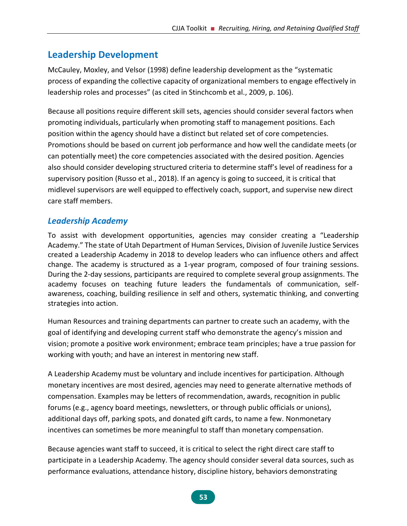# **Leadership Development**

McCauley, Moxley, and Velsor (1998) define leadership development as the "systematic process of expanding the collective capacity of organizational members to engage effectively in leadership roles and processes" (as cited in Stinchcomb et al., 2009, p. 106).

Because all positions require different skill sets, agencies should consider several factors when promoting individuals, particularly when promoting staff to management positions. Each position within the agency should have a distinct but related set of core competencies. Promotions should be based on current job performance and how well the candidate meets (or can potentially meet) the core competencies associated with the desired position. Agencies also should consider developing structured criteria to determine staff's level of readiness for a supervisory position (Russo et al., 2018). If an agency is going to succeed, it is critical that midlevel supervisors are well equipped to effectively coach, support, and supervise new direct care staff members.

### *Leadership Academy*

To assist with development opportunities, agencies may consider creating a "Leadership Academy." The state of Utah Department of Human Services, Division of Juvenile Justice Services created a Leadership Academy in 2018 to develop leaders who can influence others and affect change. The academy is structured as a 1-year program, composed of four training sessions. During the 2-day sessions, participants are required to complete several group assignments. The academy focuses on teaching future leaders the fundamentals of communication, selfawareness, coaching, building resilience in self and others, systematic thinking, and converting strategies into action.

Human Resources and training departments can partner to create such an academy, with the goal of identifying and developing current staff who demonstrate the agency's mission and vision; promote a positive work environment; embrace team principles; have a true passion for working with youth; and have an interest in mentoring new staff.

A Leadership Academy must be voluntary and include incentives for participation. Although monetary incentives are most desired, agencies may need to generate alternative methods of compensation. Examples may be letters of recommendation, awards, recognition in public forums (e.g., agency board meetings, newsletters, or through public officials or unions), additional days off, parking spots, and donated gift cards, to name a few. Nonmonetary incentives can sometimes be more meaningful to staff than monetary compensation.

Because agencies want staff to succeed, it is critical to select the right direct care staff to participate in a Leadership Academy. The agency should consider several data sources, such as performance evaluations, attendance history, discipline history, behaviors demonstrating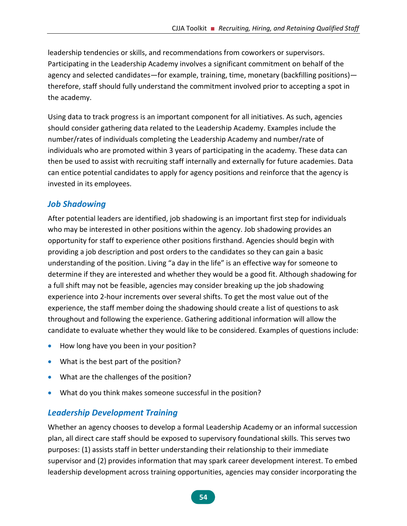leadership tendencies or skills, and recommendations from coworkers or supervisors. Participating in the Leadership Academy involves a significant commitment on behalf of the agency and selected candidates—for example, training, time, monetary (backfilling positions) therefore, staff should fully understand the commitment involved prior to accepting a spot in the academy.

Using data to track progress is an important component for all initiatives. As such, agencies should consider gathering data related to the Leadership Academy. Examples include the number/rates of individuals completing the Leadership Academy and number/rate of individuals who are promoted within 3 years of participating in the academy. These data can then be used to assist with recruiting staff internally and externally for future academies. Data can entice potential candidates to apply for agency positions and reinforce that the agency is invested in its employees.

### *Job Shadowing*

After potential leaders are identified, job shadowing is an important first step for individuals who may be interested in other positions within the agency. Job shadowing provides an opportunity for staff to experience other positions firsthand. Agencies should begin with providing a job description and post orders to the candidates so they can gain a basic understanding of the position. Living "a day in the life" is an effective way for someone to determine if they are interested and whether they would be a good fit. Although shadowing for a full shift may not be feasible, agencies may consider breaking up the job shadowing experience into 2-hour increments over several shifts. To get the most value out of the experience, the staff member doing the shadowing should create a list of questions to ask throughout and following the experience. Gathering additional information will allow the candidate to evaluate whether they would like to be considered. Examples of questions include:

- How long have you been in your position?
- What is the best part of the position?
- What are the challenges of the position?
- What do you think makes someone successful in the position?

### *Leadership Development Training*

Whether an agency chooses to develop a formal Leadership Academy or an informal succession plan, all direct care staff should be exposed to supervisory foundational skills. This serves two purposes: (1) assists staff in better understanding their relationship to their immediate supervisor and (2) provides information that may spark career development interest. To embed leadership development across training opportunities, agencies may consider incorporating the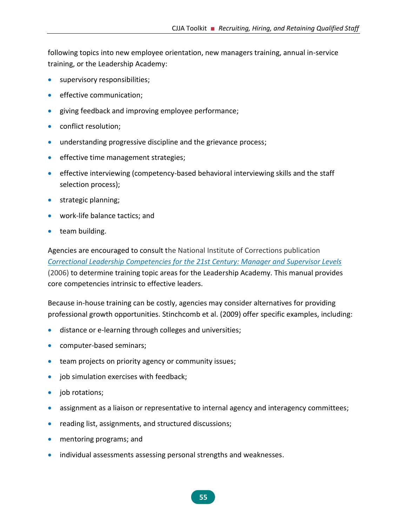following topics into new employee orientation, new managers training, annual in-service training, or the Leadership Academy:

- supervisory responsibilities;
- effective communication;
- giving feedback and improving employee performance;
- conflict resolution;
- understanding progressive discipline and the grievance process;
- effective time management strategies;
- effective interviewing (competency-based behavioral interviewing skills and the staff selection process);
- strategic planning;
- work-life balance tactics; and
- team building.

Agencies are encouraged to consult the National Institute of Corrections publication *[Correctional Leadership Competencies for the 21st Century: Manager and Supervisor Levels](https://nicic.gov/correctional-leadership-competencies-21st-century-manager-and-supervisor-levels)* (2006) to determine training topic areas for the Leadership Academy. This manual provides core competencies intrinsic to effective leaders.

Because in-house training can be costly, agencies may consider alternatives for providing professional growth opportunities. Stinchcomb et al. (2009) offer specific examples, including:

- distance or e-learning through colleges and universities;
- computer-based seminars;
- team projects on priority agency or community issues;
- job simulation exercises with feedback;
- job rotations;
- assignment as a liaison or representative to internal agency and interagency committees;
- reading list, assignments, and structured discussions;
- mentoring programs; and
- individual assessments assessing personal strengths and weaknesses.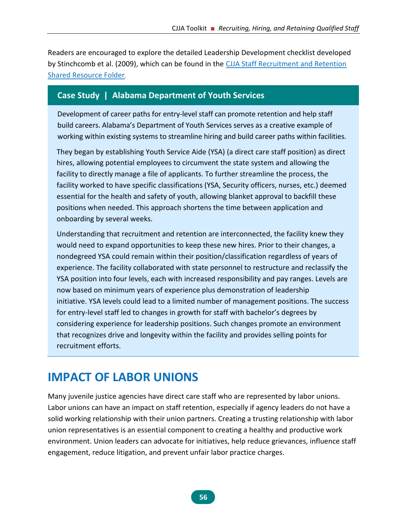Readers are encouraged to explore the detailed Leadership Development checklist developed by Stinchcomb et al. (2009), which can be found in the [CJJA Staff Recruitment and Retention](https://1drv.ms/f/s!Ais_7JaHgPh3gotIWHCtPx1afGqKHg)  [Shared Resource Folder](https://1drv.ms/f/s!Ais_7JaHgPh3gotIWHCtPx1afGqKHg).

#### **Case Study | Alabama Department of Youth Services**

Development of career paths for entry-level staff can promote retention and help staff build careers. Alabama's Department of Youth Services serves as a creative example of working within existing systems to streamline hiring and build career paths within facilities.

They began by establishing Youth Service Aide (YSA) (a direct care staff position) as direct hires, allowing potential employees to circumvent the state system and allowing the facility to directly manage a file of applicants. To further streamline the process, the facility worked to have specific classifications (YSA, Security officers, nurses, etc.) deemed essential for the health and safety of youth, allowing blanket approval to backfill these positions when needed. This approach shortens the time between application and onboarding by several weeks.

Understanding that recruitment and retention are interconnected, the facility knew they would need to expand opportunities to keep these new hires. Prior to their changes, a nondegreed YSA could remain within their position/classification regardless of years of experience. The facility collaborated with state personnel to restructure and reclassify the YSA position into four levels, each with increased responsibility and pay ranges. Levels are now based on minimum years of experience plus demonstration of leadership initiative. YSA levels could lead to a limited number of management positions. The success for entry-level staff led to changes in growth for staff with bachelor's degrees by considering experience for leadership positions. Such changes promote an environment that recognizes drive and longevity within the facility and provides selling points for recruitment efforts.

# **IMPACT OF LABOR UNIONS**

Many juvenile justice agencies have direct care staff who are represented by labor unions. Labor unions can have an impact on staff retention, especially if agency leaders do not have a solid working relationship with their union partners. Creating a trusting relationship with labor union representatives is an essential component to creating a healthy and productive work environment. Union leaders can advocate for initiatives, help reduce grievances, influence staff engagement, reduce litigation, and prevent unfair labor practice charges.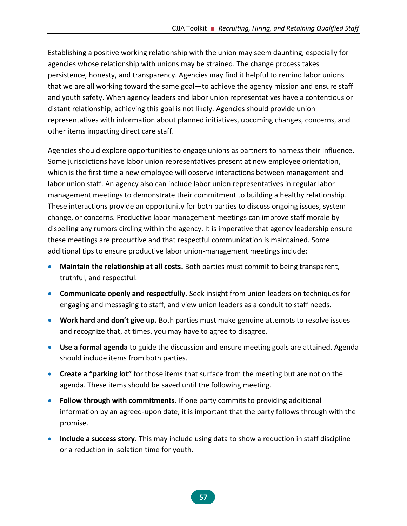Establishing a positive working relationship with the union may seem daunting, especially for agencies whose relationship with unions may be strained. The change process takes persistence, honesty, and transparency. Agencies may find it helpful to remind labor unions that we are all working toward the same goal—to achieve the agency mission and ensure staff and youth safety. When agency leaders and labor union representatives have a contentious or distant relationship, achieving this goal is not likely. Agencies should provide union representatives with information about planned initiatives, upcoming changes, concerns, and other items impacting direct care staff.

Agencies should explore opportunities to engage unions as partners to harness their influence. Some jurisdictions have labor union representatives present at new employee orientation, which is the first time a new employee will observe interactions between management and labor union staff. An agency also can include labor union representatives in regular labor management meetings to demonstrate their commitment to building a healthy relationship. These interactions provide an opportunity for both parties to discuss ongoing issues, system change, or concerns. Productive labor management meetings can improve staff morale by dispelling any rumors circling within the agency. It is imperative that agency leadership ensure these meetings are productive and that respectful communication is maintained. Some additional tips to ensure productive labor union-management meetings include:

- **Maintain the relationship at all costs.** Both parties must commit to being transparent, truthful, and respectful.
- **Communicate openly and respectfully.** Seek insight from union leaders on techniques for engaging and messaging to staff, and view union leaders as a conduit to staff needs.
- **Work hard and don't give up.** Both parties must make genuine attempts to resolve issues and recognize that, at times, you may have to agree to disagree.
- **Use a formal agenda** to guide the discussion and ensure meeting goals are attained. Agenda should include items from both parties.
- **Create a "parking lot"** for those items that surface from the meeting but are not on the agenda. These items should be saved until the following meeting.
- **Follow through with commitments.** If one party commits to providing additional information by an agreed-upon date, it is important that the party follows through with the promise.
- **Include a success story.** This may include using data to show a reduction in staff discipline or a reduction in isolation time for youth.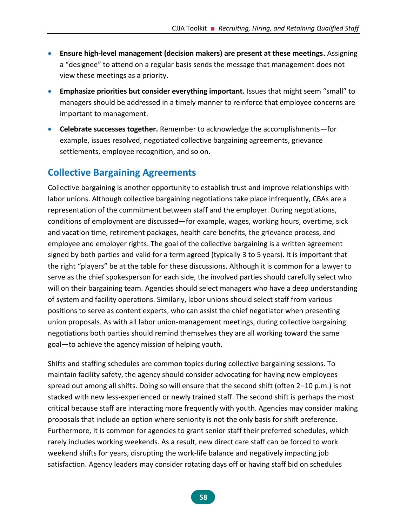- **Ensure high-level management (decision makers) are present at these meetings.** Assigning a "designee" to attend on a regular basis sends the message that management does not view these meetings as a priority.
- **Emphasize priorities but consider everything important.** Issues that might seem "small" to managers should be addressed in a timely manner to reinforce that employee concerns are important to management.
- **Celebrate successes together.** Remember to acknowledge the accomplishments—for example, issues resolved, negotiated collective bargaining agreements, grievance settlements, employee recognition, and so on.

# **Collective Bargaining Agreements**

Collective bargaining is another opportunity to establish trust and improve relationships with labor unions. Although collective bargaining negotiations take place infrequently, CBAs are a representation of the commitment between staff and the employer. During negotiations, conditions of employment are discussed—for example, wages, working hours, overtime, sick and vacation time, retirement packages, health care benefits, the grievance process, and employee and employer rights. The goal of the collective bargaining is a written agreement signed by both parties and valid for a term agreed (typically 3 to 5 years). It is important that the right "players" be at the table for these discussions. Although it is common for a lawyer to serve as the chief spokesperson for each side, the involved parties should carefully select who will on their bargaining team. Agencies should select managers who have a deep understanding of system and facility operations. Similarly, labor unions should select staff from various positions to serve as content experts, who can assist the chief negotiator when presenting union proposals. As with all labor union-management meetings, during collective bargaining negotiations both parties should remind themselves they are all working toward the same goal—to achieve the agency mission of helping youth.

Shifts and staffing schedules are common topics during collective bargaining sessions. To maintain facility safety, the agency should consider advocating for having new employees spread out among all shifts. Doing so will ensure that the second shift (often 2–10 p.m.) is not stacked with new less-experienced or newly trained staff. The second shift is perhaps the most critical because staff are interacting more frequently with youth. Agencies may consider making proposals that include an option where seniority is not the only basis for shift preference. Furthermore, it is common for agencies to grant senior staff their preferred schedules, which rarely includes working weekends. As a result, new direct care staff can be forced to work weekend shifts for years, disrupting the work-life balance and negatively impacting job satisfaction. Agency leaders may consider rotating days off or having staff bid on schedules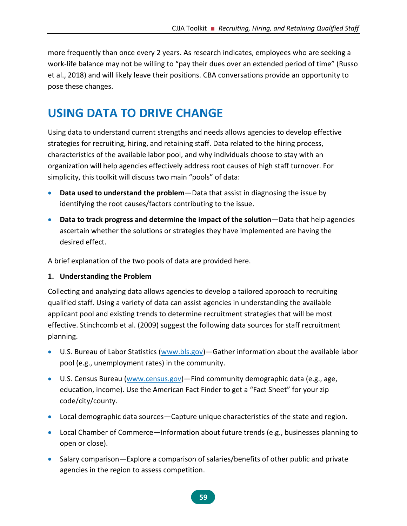more frequently than once every 2 years. As research indicates, employees who are seeking a work-life balance may not be willing to "pay their dues over an extended period of time" (Russo et al., 2018) and will likely leave their positions. CBA conversations provide an opportunity to pose these changes.

# **USING DATA TO DRIVE CHANGE**

Using data to understand current strengths and needs allows agencies to develop effective strategies for recruiting, hiring, and retaining staff. Data related to the hiring process, characteristics of the available labor pool, and why individuals choose to stay with an organization will help agencies effectively address root causes of high staff turnover. For simplicity, this toolkit will discuss two main "pools" of data:

- **Data used to understand the problem**—Data that assist in diagnosing the issue by identifying the root causes/factors contributing to the issue.
- **Data to track progress and determine the impact of the solution**—Data that help agencies ascertain whether the solutions or strategies they have implemented are having the desired effect.

A brief explanation of the two pools of data are provided here.

#### **1. Understanding the Problem**

Collecting and analyzing data allows agencies to develop a tailored approach to recruiting qualified staff. Using a variety of data can assist agencies in understanding the available applicant pool and existing trends to determine recruitment strategies that will be most effective. Stinchcomb et al. (2009) suggest the following data sources for staff recruitment planning.

- U.S. Bureau of Labor Statistics [\(www.bls.gov\)](http://www.bls.gov/) Gather information about the available labor pool (e.g., unemployment rates) in the community.
- U.S. Census Bureau [\(www.census.gov\)](http://www.census.gov/)—Find community demographic data (e.g., age, education, income). Use the American Fact Finder to get a "Fact Sheet" for your zip code/city/county.
- Local demographic data sources—Capture unique characteristics of the state and region.
- Local Chamber of Commerce—Information about future trends (e.g., businesses planning to open or close).
- Salary comparison—Explore a comparison of salaries/benefits of other public and private agencies in the region to assess competition.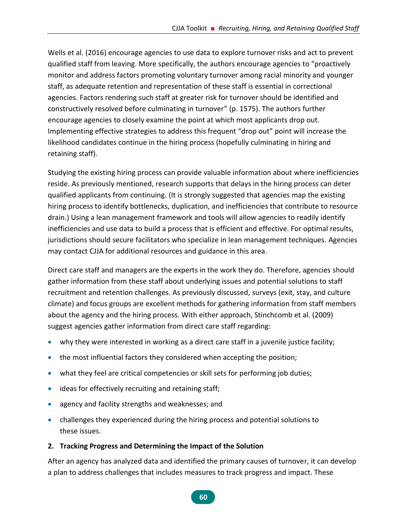Wells et al. (2016) encourage agencies to use data to explore turnover risks and act to prevent qualified staff from leaving. More specifically, the authors encourage agencies to "proactively monitor and address factors promoting voluntary turnover among racial minority and younger staff, as adequate retention and representation of these staff is essential in correctional agencies. Factors rendering such staff at greater risk for turnover should be identified and constructively resolved before culminating in turnover" (p. 1575). The authors further encourage agencies to closely examine the point at which most applicants drop out. Implementing effective strategies to address this frequent "drop out" point will increase the likelihood candidates continue in the hiring process (hopefully culminating in hiring and retaining staff).

Studying the existing hiring process can provide valuable information about where inefficiencies reside. As previously mentioned, research supports that delays in the hiring process can deter qualified applicants from continuing. (It is strongly suggested that agencies map the existing hiring process to identify bottlenecks, duplication, and inefficiencies that contribute to resource drain.) Using a lean management framework and tools will allow agencies to readily identify inefficiencies and use data to build a process that is efficient and effective. For optimal results, jurisdictions should secure facilitators who specialize in lean management techniques. Agencies may contact CJJA for additional resources and guidance in this area.

Direct care staff and managers are the experts in the work they do. Therefore, agencies should gather information from these staff about underlying issues and potential solutions to staff recruitment and retention challenges. As previously discussed, surveys (exit, stay, and culture climate) and focus groups are excellent methods for gathering information from staff members about the agency and the hiring process. With either approach, Stinchcomb et al. (2009) suggest agencies gather information from direct care staff regarding:

- why they were interested in working as a direct care staff in a juvenile justice facility;
- the most influential factors they considered when accepting the position;
- what they feel are critical competencies or skill sets for performing job duties;
- ideas for effectively recruiting and retaining staff;
- agency and facility strengths and weaknesses; and
- challenges they experienced during the hiring process and potential solutions to these issues.

#### **2. Tracking Progress and Determining the Impact of the Solution**

After an agency has analyzed data and identified the primary causes of turnover, it can develop a plan to address challenges that includes measures to track progress and impact. These

**60**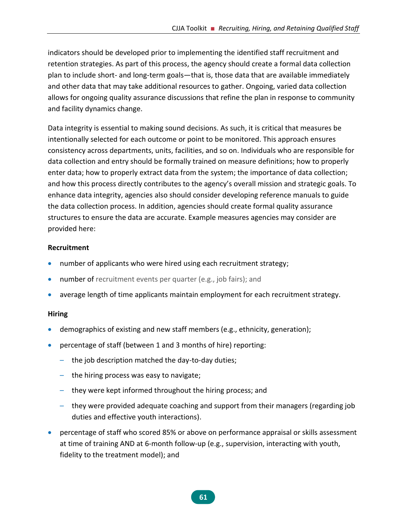indicators should be developed prior to implementing the identified staff recruitment and retention strategies. As part of this process, the agency should create a formal data collection plan to include short- and long-term goals—that is, those data that are available immediately and other data that may take additional resources to gather. Ongoing, varied data collection allows for ongoing quality assurance discussions that refine the plan in response to community and facility dynamics change.

Data integrity is essential to making sound decisions. As such, it is critical that measures be intentionally selected for each outcome or point to be monitored. This approach ensures consistency across departments, units, facilities, and so on. Individuals who are responsible for data collection and entry should be formally trained on measure definitions; how to properly enter data; how to properly extract data from the system; the importance of data collection; and how this process directly contributes to the agency's overall mission and strategic goals. To enhance data integrity, agencies also should consider developing reference manuals to guide the data collection process. In addition, agencies should create formal quality assurance structures to ensure the data are accurate. Example measures agencies may consider are provided here:

#### **Recruitment**

- number of applicants who were hired using each recruitment strategy;
- number of recruitment events per quarter (e.g., job fairs); and
- average length of time applicants maintain employment for each recruitment strategy.

#### **Hiring**

- demographics of existing and new staff members (e.g., ethnicity, generation);
- percentage of staff (between 1 and 3 months of hire) reporting:
	- the job description matched the day-to-day duties;
	- the hiring process was easy to navigate;
	- they were kept informed throughout the hiring process; and
	- they were provided adequate coaching and support from their managers (regarding job duties and effective youth interactions).
- percentage of staff who scored 85% or above on performance appraisal or skills assessment at time of training AND at 6-month follow-up (e.g., supervision, interacting with youth, fidelity to the treatment model); and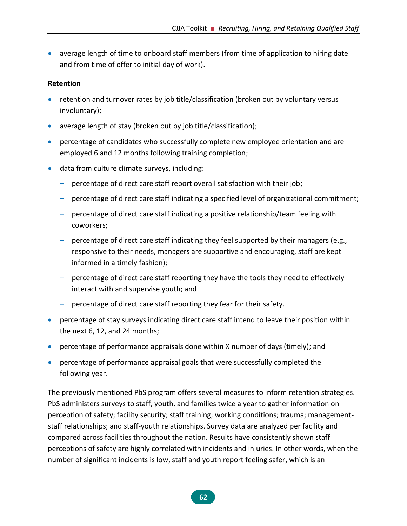• average length of time to onboard staff members (from time of application to hiring date and from time of offer to initial day of work).

#### **Retention**

- retention and turnover rates by job title/classification (broken out by voluntary versus involuntary);
- average length of stay (broken out by job title/classification);
- percentage of candidates who successfully complete new employee orientation and are employed 6 and 12 months following training completion;
- data from culture climate surveys, including:
	- percentage of direct care staff report overall satisfaction with their job;
	- percentage of direct care staff indicating a specified level of organizational commitment;
	- percentage of direct care staff indicating a positive relationship/team feeling with coworkers;
	- percentage of direct care staff indicating they feel supported by their managers (e.g., responsive to their needs, managers are supportive and encouraging, staff are kept informed in a timely fashion);
	- percentage of direct care staff reporting they have the tools they need to effectively interact with and supervise youth; and
	- percentage of direct care staff reporting they fear for their safety.
- percentage of stay surveys indicating direct care staff intend to leave their position within the next 6, 12, and 24 months;
- percentage of performance appraisals done within X number of days (timely); and
- percentage of performance appraisal goals that were successfully completed the following year.

The previously mentioned PbS program offers several measures to inform retention strategies. PbS administers surveys to staff, youth, and families twice a year to gather information on perception of safety; facility security; staff training; working conditions; trauma; managementstaff relationships; and staff-youth relationships. Survey data are analyzed per facility and compared across facilities throughout the nation. Results have consistently shown staff perceptions of safety are highly correlated with incidents and injuries. In other words, when the number of significant incidents is low, staff and youth report feeling safer, which is an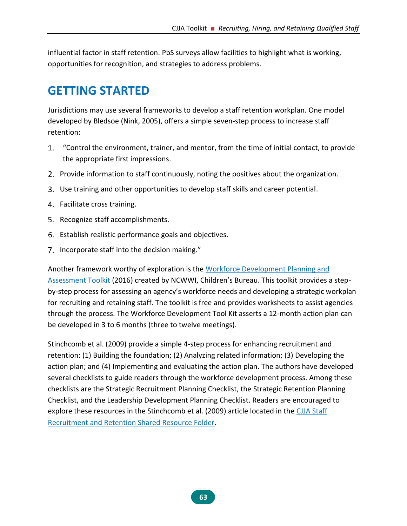influential factor in staff retention. PbS surveys allow facilities to highlight what is working, opportunities for recognition, and strategies to address problems.

# **GETTING STARTED**

Jurisdictions may use several frameworks to develop a staff retention workplan. One model developed by Bledsoe (Nink, 2005), offers a simple seven-step process to increase staff retention:

- "Control the environment, trainer, and mentor, from the time of initial contact, to provide the appropriate first impressions.
- 2. Provide information to staff continuously, noting the positives about the organization.
- Use training and other opportunities to develop staff skills and career potential.
- 4. Facilitate cross training.
- 5. Recognize staff accomplishments.
- Establish realistic performance goals and objectives.
- 7. Incorporate staff into the decision making."

Another framework worthy of exploration is the [Workforce Development Planning and](http://wdftoolkit.ncwwi.org/)  [Assessment Toolkit](http://wdftoolkit.ncwwi.org/) (2016) created by NCWWI, Children's Bureau. This toolkit provides a stepby-step process for assessing an agency's workforce needs and developing a strategic workplan for recruiting and retaining staff. The toolkit is free and provides worksheets to assist agencies through the process. The Workforce Development Tool Kit asserts a 12-month action plan can be developed in 3 to 6 months (three to twelve meetings).

Stinchcomb et al. (2009) provide a simple 4-step process for enhancing recruitment and retention: (1) Building the foundation; (2) Analyzing related information; (3) Developing the action plan; and (4) Implementing and evaluating the action plan. The authors have developed several checklists to guide readers through the workforce development process. Among these checklists are the Strategic Recruitment Planning Checklist, the Strategic Retention Planning Checklist, and the Leadership Development Planning Checklist. Readers are encouraged to explore these resources in the Stinchcomb et al. (2009) article located in the [CJJA Staff](https://1drv.ms/f/s!Ais_7JaHgPh3gotIWHCtPx1afGqKHg)  [Recruitment and Retention Shared Resource Folder.](https://1drv.ms/f/s!Ais_7JaHgPh3gotIWHCtPx1afGqKHg)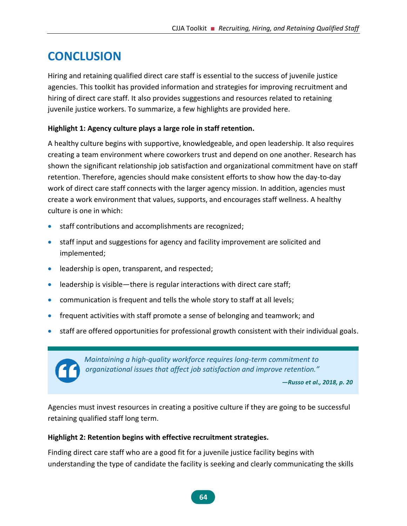# **CONCLUSION**

Hiring and retaining qualified direct care staff is essential to the success of juvenile justice agencies. This toolkit has provided information and strategies for improving recruitment and hiring of direct care staff. It also provides suggestions and resources related to retaining juvenile justice workers. To summarize, a few highlights are provided here.

#### **Highlight 1: Agency culture plays a large role in staff retention.**

A healthy culture begins with supportive, knowledgeable, and open leadership. It also requires creating a team environment where coworkers trust and depend on one another. Research has shown the significant relationship job satisfaction and organizational commitment have on staff retention. Therefore, agencies should make consistent efforts to show how the day-to-day work of direct care staff connects with the larger agency mission. In addition, agencies must create a work environment that values, supports, and encourages staff wellness. A healthy culture is one in which:

- staff contributions and accomplishments are recognized;
- staff input and suggestions for agency and facility improvement are solicited and implemented;
- leadership is open, transparent, and respected;
- leadership is visible—there is regular interactions with direct care staff;
- communication is frequent and tells the whole story to staff at all levels;
- frequent activities with staff promote a sense of belonging and teamwork; and
- staff are offered opportunities for professional growth consistent with their individual goals.



*Maintaining a high-quality workforce requires long-term commitment to organizational issues that affect job satisfaction and improve retention."*

*—Russo et al., 2018, p. 20*

Agencies must invest resources in creating a positive culture if they are going to be successful retaining qualified staff long term.

#### **Highlight 2: Retention begins with effective recruitment strategies.**

Finding direct care staff who are a good fit for a juvenile justice facility begins with understanding the type of candidate the facility is seeking and clearly communicating the skills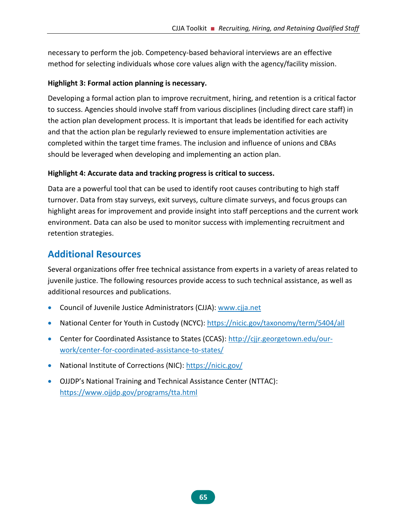necessary to perform the job. Competency-based behavioral interviews are an effective method for selecting individuals whose core values align with the agency/facility mission.

#### **Highlight 3: Formal action planning is necessary.**

Developing a formal action plan to improve recruitment, hiring, and retention is a critical factor to success. Agencies should involve staff from various disciplines (including direct care staff) in the action plan development process. It is important that leads be identified for each activity and that the action plan be regularly reviewed to ensure implementation activities are completed within the target time frames. The inclusion and influence of unions and CBAs should be leveraged when developing and implementing an action plan.

#### **Highlight 4: Accurate data and tracking progress is critical to success.**

Data are a powerful tool that can be used to identify root causes contributing to high staff turnover. Data from stay surveys, exit surveys, culture climate surveys, and focus groups can highlight areas for improvement and provide insight into staff perceptions and the current work environment. Data can also be used to monitor success with implementing recruitment and retention strategies.

# **Additional Resources**

Several organizations offer free technical assistance from experts in a variety of areas related to juvenile justice. The following resources provide access to such technical assistance, as well as additional resources and publications.

- Council of Juvenile Justice Administrators (CJJA): [www.cjja.net](http://www.cjja.net/)
- [National Center for Youth in Custody \(NCYC\):](http://npjs.org/ncyc-blog-why-art-an-exhibition-by-joe-szafarowicz/) <https://nicic.gov/taxonomy/term/5404/all>
- Center for Coordinated Assistance to States (CCAS): [http://cjjr.georgetown.edu/our](http://cjjr.georgetown.edu/our-work/center-for-coordinated-assistance-to-states/)[work/center-for-coordinated-assistance-to-states/](http://cjjr.georgetown.edu/our-work/center-for-coordinated-assistance-to-states/)
- National Institute of Corrections (NIC): <https://nicic.gov/>
- OJJDP's National Training and Technical Assistance Center (NTTAC): <https://www.ojjdp.gov/programs/tta.html>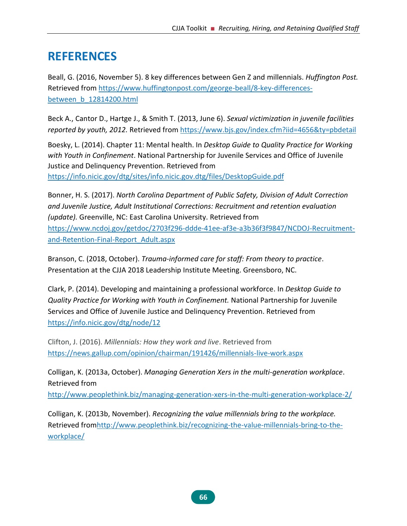## **REFERENCES**

Beall, G. (2016, November 5). 8 key differences between Gen Z and millennials. *Huffington Post.* Retrieved from [https://www.huffingtonpost.com/george-beall/8-key-differences](https://www.huffingtonpost.com/george-beall/8-key-differences-between_b_12814200.html)[between\\_b\\_12814200.html](https://www.huffingtonpost.com/george-beall/8-key-differences-between_b_12814200.html)

Beck A., Cantor D., Hartge J., & Smith T. (2013, June 6). *Sexual victimization in juvenile facilities reported by youth, 2012.* Retrieved from <https://www.bjs.gov/index.cfm?iid=4656&ty=pbdetail>

Boesky, L. (2014). Chapter 11: Mental health. In *Desktop Guide to Quality Practice for Working with Youth in Confinement*. National Partnership for Juvenile Services and Office of Juvenile Justice and Delinquency Prevention. Retrieved from <https://info.nicic.gov/dtg/sites/info.nicic.gov.dtg/files/DesktopGuide.pdf>

Bonner, H. S. (2017). *North Carolina Department of Public Safety, Division of Adult Correction and Juvenile Justice, Adult Institutional Corrections: Recruitment and retention evaluation (update).* Greenville, NC: East Carolina University. Retrieved from [https://www.ncdoj.gov/getdoc/2703f296-ddde-41ee-af3e-a3b36f3f9847/NCDOJ-Recruitment](https://www.ncdoj.gov/getdoc/2703f296-ddde-41ee-af3e-a3b36f3f9847/NCDOJ-Recruitment-and-Retention-Final-Report_Adult.aspx)[and-Retention-Final-Report\\_Adult.aspx](https://www.ncdoj.gov/getdoc/2703f296-ddde-41ee-af3e-a3b36f3f9847/NCDOJ-Recruitment-and-Retention-Final-Report_Adult.aspx)

Branson, C. (2018, October). *Trauma-informed care for staff: From theory to practice*. Presentation at the CJJA 2018 Leadership Institute Meeting. Greensboro, NC.

Clark, P. (2014). Developing and maintaining a professional workforce. In *Desktop Guide to Quality Practice for Working with Youth in Confinement.* National Partnership for Juvenile Services and Office of Juvenile Justice and Delinquency Prevention. Retrieved from <https://info.nicic.gov/dtg/node/12>

Clifton, J. (2016). *Millennials: How they work and live*. Retrieved from <https://news.gallup.com/opinion/chairman/191426/millennials-live-work.aspx>

Colligan, K. (2013a, October). *Managing Generation Xers in the multi-generation workplace*. Retrieved from

<http://www.peoplethink.biz/managing-generation-xers-in-the-multi-generation-workplace-2/>

Colligan, K. (2013b, November). *Recognizing the value millennials bring to the workplace.*  Retrieved fro[mhttp://www.peoplethink.biz/recognizing-the-value-millennials-bring-to-the](http://www.peoplethink.biz/recognizing-the-value-millennials-bring-to-the-workplace/)[workplace/](http://www.peoplethink.biz/recognizing-the-value-millennials-bring-to-the-workplace/)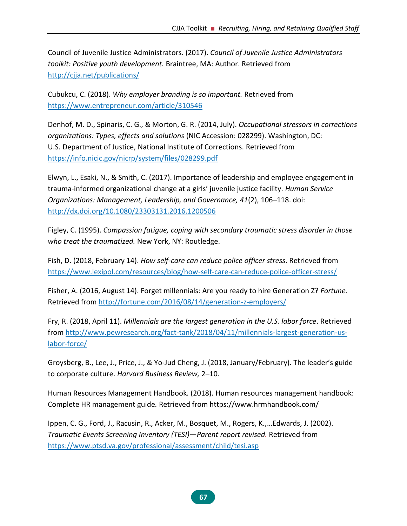Council of Juvenile Justice Administrators. (2017). *Council of Juvenile Justice Administrators toolkit: Positive youth development.* Braintree, MA: Author. Retrieved from <http://cjja.net/publications/>

Cubukcu, C. (2018). *Why employer branding is so important.* Retrieved from <https://www.entrepreneur.com/article/310546>

Denhof, M. D., Spinaris, C. G., & Morton, G. R. (2014, July). *Occupational stressors in corrections organizations: Types, effects and solutions* (NIC Accession: 028299). Washington, DC: U.S. Department of Justice, National Institute of Corrections. Retrieved from <https://info.nicic.gov/nicrp/system/files/028299.pdf>

Elwyn, L., Esaki, N., & Smith, C. (2017). Importance of leadership and employee engagement in trauma-informed organizational change at a girls' juvenile justice facility. *Human Service Organizations: Management, Leadership, and Governance, 41*(2), 106–118. doi: <http://dx.doi.org/10.1080/23303131.2016.1200506>

Figley, C. (1995). *Compassion fatigue, coping with secondary traumatic stress disorder in those who treat the traumatized.* New York, NY: Routledge.

Fish, D. (2018, February 14). *How self-care can reduce police officer stress*. Retrieved from <https://www.lexipol.com/resources/blog/how-self-care-can-reduce-police-officer-stress/>

Fisher, A. (2016, August 14). Forget millennials: Are you ready to hire Generation Z? *Fortune.* Retrieved from<http://fortune.com/2016/08/14/generation-z-employers/>

Fry, R. (2018, April 11). *Millennials are the largest generation in the U.S. labor force*. Retrieved from [http://www.pewresearch.org/fact-tank/2018/04/11/millennials-largest-generation-us](http://www.pewresearch.org/fact-tank/2018/04/11/millennials-largest-generation-us-labor-force/)[labor-force/](http://www.pewresearch.org/fact-tank/2018/04/11/millennials-largest-generation-us-labor-force/)

Groysberg, B., Lee, J., Price, J., & Yo-Jud Cheng, J. (2018, January/February). The leader's guide to corporate culture. *Harvard Business Review,* 2–10.

Human Resources Management Handbook. (2018). Human resources management handbook: Complete HR management guide*.* Retrieved from<https://www.hrmhandbook.com/>

Ippen, C. G., Ford, J., Racusin, R., Acker, M., Bosquet, M., Rogers, K.,…Edwards, J. (2002). *Traumatic Events Screening Inventory (TESI)—Parent report revised.* Retrieved from <https://www.ptsd.va.gov/professional/assessment/child/tesi.asp>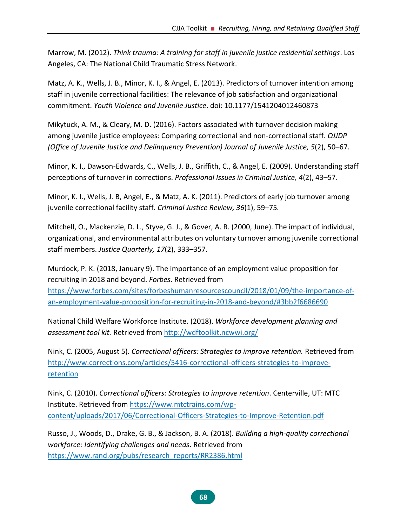Marrow, M. (2012). *Think trauma: A training for staff in juvenile justice residential settings*. Los Angeles, CA: The National Child Traumatic Stress Network.

Matz, A. K., Wells, J. B., Minor, K. I., & Angel, E. (2013). Predictors of turnover intention among staff in juvenile correctional facilities: The relevance of job satisfaction and organizational commitment. *Youth Violence and Juvenile Justice*. doi: 10.1177/1541204012460873

Mikytuck, A. M., & Cleary, M. D. (2016). Factors associated with turnover decision making among juvenile justice employees: Comparing correctional and non-correctional staff. *OJJDP (Office of Juvenile Justice and Delinquency Prevention) Journal of Juvenile Justice, 5*(2), 50–67.

Minor, K. I., Dawson-Edwards, C., Wells, J. B., Griffith, C., & Angel, E. (2009). Understanding staff perceptions of turnover in corrections. *Professional Issues in Criminal Justice, 4*(2), 43–57.

Minor, K. I., Wells, J. B, Angel, E., & Matz, A. K. (2011). Predictors of early job turnover among juvenile correctional facility staff. *Criminal Justice Review, 36*(1), 59–75*.*

Mitchell, O., Mackenzie, D. L., Styve, G. J., & Gover, A. R. (2000, June). The impact of individual, organizational, and environmental attributes on voluntary turnover among juvenile correctional staff members. *Justice Quarterly, 17*(2), 333–357.

Murdock, P. K. (2018, January 9). The importance of an employment value proposition for recruiting in 2018 and beyond. *Forbes*. Retrieved from [https://www.forbes.com/sites/forbeshumanresourcescouncil/2018/01/09/the-importance-of](https://www.forbes.com/sites/forbeshumanresourcescouncil/2018/01/09/the-importance-of-an-employment-value-proposition-for-recruiting-in-2018-and-beyond/#3bb2f6686690)[an-employment-value-proposition-for-recruiting-in-2018-and-beyond/#3bb2f6686690](https://www.forbes.com/sites/forbeshumanresourcescouncil/2018/01/09/the-importance-of-an-employment-value-proposition-for-recruiting-in-2018-and-beyond/#3bb2f6686690)

National Child Welfare Workforce Institute. (2018). *Workforce development planning and assessment tool kit.* Retrieved from<http://wdftoolkit.ncwwi.org/>

Nink, C. (2005, August 5). *Correctional officers: Strategies to improve retention.* Retrieved from [http://www.corrections.com/articles/5416-correctional-officers-strategies-to-improve](http://www.corrections.com/articles/5416-correctional-officers-strategies-to-improve-retention)[retention](http://www.corrections.com/articles/5416-correctional-officers-strategies-to-improve-retention)

Nink, C. (2010). *Correctional officers: Strategies to improve retention*. Centerville, UT: MTC Institute. Retrieved from [https://www.mtctrains.com/wp](https://www.mtctrains.com/wp-content/uploads/2017/06/Correctional-Officers-Strategies-to-Improve-Retention.pdf)[content/uploads/2017/06/Correctional-Officers-Strategies-to-Improve-Retention.pdf](https://www.mtctrains.com/wp-content/uploads/2017/06/Correctional-Officers-Strategies-to-Improve-Retention.pdf)

Russo, J., Woods, D., Drake, G. B., & Jackson, B. A. (2018). *Building a high-quality correctional workforce: Identifying challenges and needs*. Retrieved from [https://www.rand.org/pubs/research\\_reports/RR2386.html](https://www.rand.org/pubs/research_reports/RR2386.html)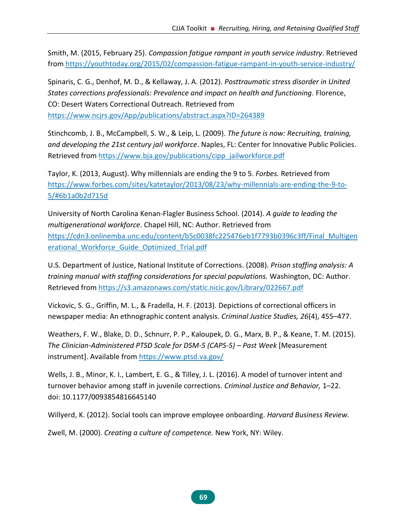Smith, M. (2015, February 25). *Compassion fatigue rampant in youth service industry*. Retrieved from [https://youthtoday.org/2015/02/compassion-fatigue-rampant-in-youth-service-industry/](https://youhtoday.org/2015/02/compassion-fatigue-rampant-in-youth-service-industry/)

Spinaris, C. G., Denhof, M. D., & Kellaway, J. A. (2012). *Posttraumatic stress disorder in United States corrections professionals: Prevalence and impact on health and functioning*. Florence, CO: Desert Waters Correctional Outreach. Retrieved from <https://www.ncjrs.gov/App/publications/abstract.aspx?ID=264389>

Stinchcomb, J. B., McCampbell, S. W., & Leip, L. (2009). *The future is now: Recruiting, training, and developing the 21st century jail workforce*. Naples, FL: Center for Innovative Public Policies. Retrieved from [https://www.bja.gov/publications/cipp\\_jailworkforce.pdf](https://www.bja.gov/publications/cipp_jailworkforce.pdf)

Taylor, K. (2013, August). Why millennials are ending the 9 to 5. *Forbes.* Retrieved from [https://www.forbes.com/sites/katetaylor/2013/08/23/why-millennials-are-ending-the-9-to-](https://www.forbes.com/sites/katetaylor/2013/08/23/why-millennials-are-ending-the-9-to-5/%236b1a0b2d715d)[5/#6b1a0b2d715d](https://www.forbes.com/sites/katetaylor/2013/08/23/why-millennials-are-ending-the-9-to-5/%236b1a0b2d715d) 

University of North Carolina Kenan-Flagler Business School. (2014). *A guide to leading the multigenerational workforce*. Chapel Hill, NC: Author. Retrieved from [https://cdn3.onlinemba.unc.edu/content/b5c0038fc225476eb1f7793b0396c3ff/Final\\_Multigen](https://cdn3.onlinemba.unc.edu/content/b5c0038fc225476eb1f7793b0396c3ff/Final_Multigenerational_Workforce_Guide_Optimized_Trial.pdf) erational Workforce Guide Optimized Trial.pdf

U.S. Department of Justice, National Institute of Corrections. (2008). *Prison staffing analysis: A training manual with staffing considerations for special populations.* Washington, DC: Author. Retrieved from<https://s3.amazonaws.com/static.nicic.gov/Library/022667.pdf>

Vickovic, S. G., Griffin, M. L., & Fradella, H. F. (2013). Depictions of correctional officers in newspaper media: An ethnographic content analysis. *Criminal Justice Studies, 26*(4), 455–477.

Weathers, F. W., Blake, D. D., Schnurr, P. P., Kaloupek, D. G., Marx, B. P., & Keane, T. M. (2015). *The Clinician-Administered PTSD Scale for DSM-5 (CAPS-5) – Past Week* [Measurement instrument]. Available from<https://www.ptsd.va.gov/>

Wells, J. B., Minor, K. I., Lambert, E. G., & Tilley, J. L. (2016). A model of turnover intent and turnover behavior among staff in juvenile corrections. *Criminal Justice and Behavior,* 1–22. doi: 10.1177/0093854816645140

Willyerd, K. (2012). Social tools can improve employee onboarding. *Harvard Business Review.*

Zwell, M. (2000). *Creating a culture of competence.* New York, NY: Wiley.